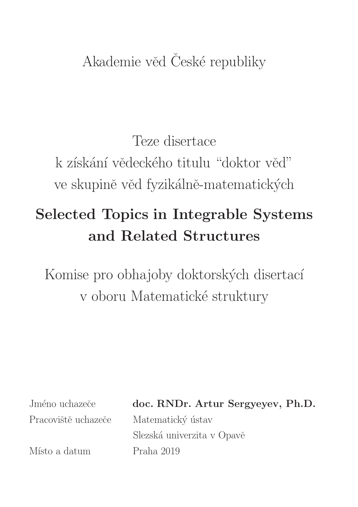# Akademie věd České republiky

Teze disertace k získání vědeckého titulu "doktor věd" ve skupině věd fyzikálně-matematických

# Selected Topics in Integrable Systems and Related Structures

Komise pro obhajoby doktorských disertací v oboru Matematické struktury

Pracoviště uchazeče Matematický ústav

Místo a datum Praha 2019

Jméno uchazeče doc. RNDr. Artur Sergyeyev, Ph.D.

Slezská univerzita v Opavě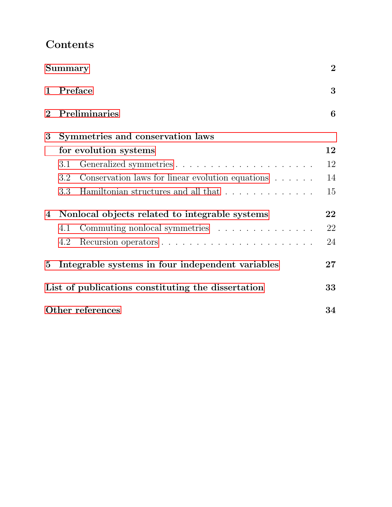# <span id="page-2-1"></span>Contents

<span id="page-2-0"></span>

|                | Summary                                            |                                                                  | $\overline{2}$ |
|----------------|----------------------------------------------------|------------------------------------------------------------------|----------------|
| $\mathbf 1$    |                                                    | Preface                                                          | 3              |
| $\overline{2}$ |                                                    | Preliminaries                                                    | 6              |
| $\bf{3}$       |                                                    | Symmetries and conservation laws                                 |                |
|                |                                                    | for evolution systems                                            | 12             |
|                | 3.1                                                |                                                                  | 12             |
|                | 3.2                                                | Conservation laws for linear evolution equations $\ldots \ldots$ | 14             |
|                | 3.3                                                | Hamiltonian structures and all that                              | 15             |
| $\overline{4}$ | Nonlocal objects related to integrable systems     |                                                                  | 22             |
|                | 4.1                                                | Commuting nonlocal symmetries                                    | 22             |
|                | 4.2                                                |                                                                  | 24             |
| $5^{\circ}$    |                                                    | Integrable systems in four independent variables                 | $27\,$         |
|                | List of publications constituting the dissertation |                                                                  |                |
|                | Other references                                   |                                                                  |                |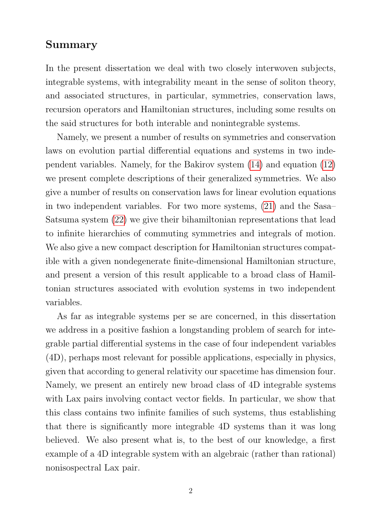## Summary

In the present dissertation we deal with two closely interwoven subjects, integrable systems, with integrability meant in the sense of soliton theory, and associated structures, in particular, symmetries, conservation laws, recursion operators and Hamiltonian structures, including some results on the said structures for both interable and nonintegrable systems.

Namely, we present a number of results on symmetries and conservation laws on evolution partial differential equations and systems in two independent variables. Namely, for the Bakirov system [\(14\)](#page-15-0) and equation [\(12\)](#page-14-2) we present complete descriptions of their generalized symmetries. We also give a number of results on conservation laws for linear evolution equations in two independent variables. For two more systems, [\(21\)](#page-22-0) and the Sasa– Satsuma system [\(22\)](#page-23-0) we give their bihamiltonian representations that lead to infinite hierarchies of commuting symmetries and integrals of motion. We also give a new compact description for Hamiltonian structures compatible with a given nondegenerate finite-dimensional Hamiltonian structure, and present a version of this result applicable to a broad class of Hamiltonian structures associated with evolution systems in two independent variables.

As far as integrable systems per se are concerned, in this dissertation we address in a positive fashion a longstanding problem of search for integrable partial differential systems in the case of four independent variables (4D), perhaps most relevant for possible applications, especially in physics, given that according to general relativity our spacetime has dimension four. Namely, we present an entirely new broad class of 4D integrable systems with Lax pairs involving contact vector fields. In particular, we show that this class contains two infinite families of such systems, thus establishing that there is significantly more integrable 4D systems than it was long believed. We also present what is, to the best of our knowledge, a first example of a 4D integrable system with an algebraic (rather than rational) nonisospectral Lax pair.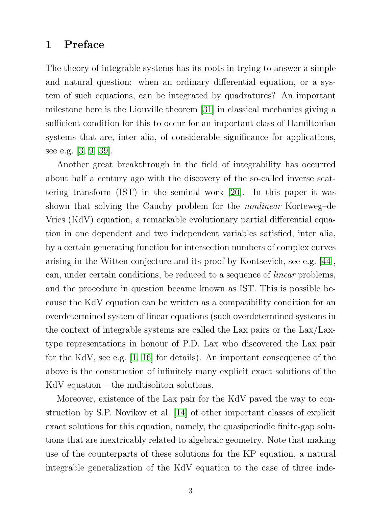# <span id="page-5-0"></span>1 Preface

The theory of integrable systems has its roots in trying to answer a simple and natural question: when an ordinary differential equation, or a system of such equations, can be integrated by quadratures? An important milestone here is the Liouville theorem [\[31\]](#page-38-0) in classical mechanics giving a sufficient condition for this to occur for an important class of Hamiltonian systems that are, inter alia, of considerable significance for applications, see e.g. [\[3,](#page-36-0) [9,](#page-36-1) [39\]](#page-39-0).

Another great breakthrough in the field of integrability has occurred about half a century ago with the discovery of the so-called inverse scattering transform (IST) in the seminal work [\[20\]](#page-37-0). In this paper it was shown that solving the Cauchy problem for the *nonlinear* Korteweg–de Vries (KdV) equation, a remarkable evolutionary partial differential equation in one dependent and two independent variables satisfied, inter alia, by a certain generating function for intersection numbers of complex curves arising in the Witten conjecture and its proof by Kontsevich, see e.g. [\[44\]](#page-39-1), can, under certain conditions, be reduced to a sequence of linear problems, and the procedure in question became known as IST. This is possible because the KdV equation can be written as a compatibility condition for an overdetermined system of linear equations (such overdetermined systems in the context of integrable systems are called the Lax pairs or the Lax/Laxtype representations in honour of P.D. Lax who discovered the Lax pair for the KdV, see e.g. [\[1,](#page-36-2) [16\]](#page-37-1) for details). An important consequence of the above is the construction of infinitely many explicit exact solutions of the KdV equation – the multisoliton solutions.

Moreover, existence of the Lax pair for the KdV paved the way to construction by S.P. Novikov et al. [\[14\]](#page-37-2) of other important classes of explicit exact solutions for this equation, namely, the quasiperiodic finite-gap solutions that are inextricably related to algebraic geometry. Note that making use of the counterparts of these solutions for the KP equation, a natural integrable generalization of the KdV equation to the case of three inde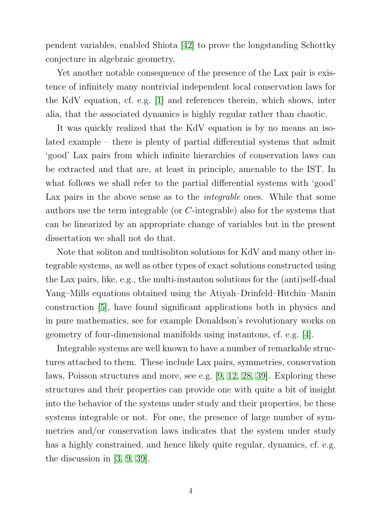pendent variables, enabled Shiota [\[42\]](#page-39-2) to prove the longstanding Schottky conjecture in algebraic geometry.

Yet another notable consequence of the presence of the Lax pair is existence of infinitely many nontrivial independent local conservation laws for the KdV equation, cf. e.g. [\[1\]](#page-36-2) and references therein, which shows, inter alia, that the associated dynamics is highly regular rather than chaotic.

It was quickly realized that the KdV equation is by no means an isolated example – there is plenty of partial differential systems that admit 'good' Lax pairs from which infinite hierarchies of conservation laws can be extracted and that are, at least in principle, amenable to the IST. In what follows we shall refer to the partial differential systems with 'good' Lax pairs in the above sense as to the *integrable* ones. While that some authors use the term integrable (or C-integrable) also for the systems that can be linearized by an appropriate change of variables but in the present dissertation we shall not do that.

Note that soliton and multisoliton solutions for KdV and many other integrable systems, as well as other types of exact solutions constructed using the Lax pairs, like, e.g., the multi-instanton solutions for the (anti)self-dual Yang–Mills equations obtained using the Atiyah–Drinfeld–Hitchin–Manin construction [\[5\]](#page-36-3), have found significant applications both in physics and in pure mathematics, see for example Donaldson's revolutionary works on geometry of four-dimensional manifolds using instantons, cf. e.g. [\[4\]](#page-36-4).

Integrable systems are well known to have a number of remarkable structures attached to them. These include Lax pairs, symmetries, conservation laws, Poisson structures and more, see e.g. [\[9,](#page-36-1) [12,](#page-37-3) [28,](#page-38-1) [39\]](#page-39-0). Exploring these structures and their properties can provide one with quite a bit of insight into the behavior of the systems under study and their properties, be these systems integrable or not. For one, the presence of large number of symmetries and/or conservation laws indicates that the system under study has a highly constrained, and hence likely quite regular, dynamics, cf. e.g. the discussion in [\[3,](#page-36-0) [9,](#page-36-1) [39\]](#page-39-0).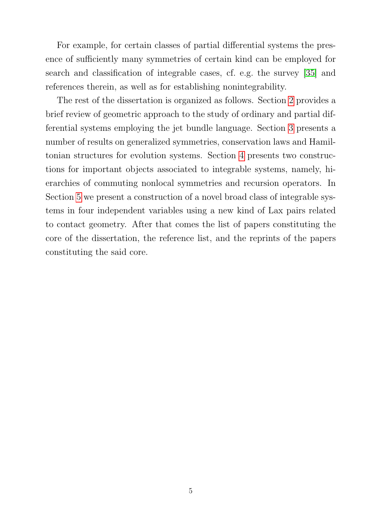For example, for certain classes of partial differential systems the presence of sufficiently many symmetries of certain kind can be employed for search and classification of integrable cases, cf. e.g. the survey [\[35\]](#page-39-3) and references therein, as well as for establishing nonintegrability.

The rest of the dissertation is organized as follows. Section [2](#page-8-0) provides a brief review of geometric approach to the study of ordinary and partial differential systems employing the jet bundle language. Section [3](#page-14-0) presents a number of results on generalized symmetries, conservation laws and Hamiltonian structures for evolution systems. Section [4](#page-24-0) presents two constructions for important objects associated to integrable systems, namely, hierarchies of commuting nonlocal symmetries and recursion operators. In Section [5](#page-29-0) we present a construction of a novel broad class of integrable systems in four independent variables using a new kind of Lax pairs related to contact geometry. After that comes the list of papers constituting the core of the dissertation, the reference list, and the reprints of the papers constituting the said core.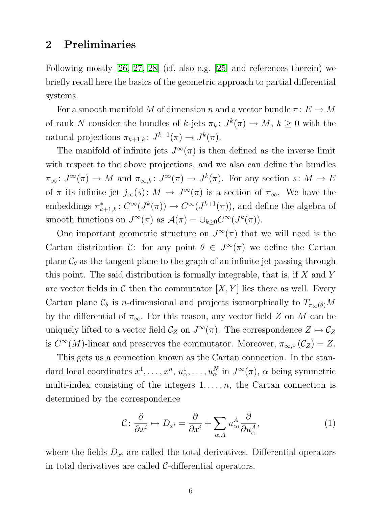## <span id="page-8-0"></span>2 Preliminaries

Following mostly [\[26,](#page-38-2) [27,](#page-38-3) [28\]](#page-38-1) (cf. also e.g. [\[25\]](#page-38-4) and references therein) we briefly recall here the basics of the geometric approach to partial differential systems.

For a smooth manifold M of dimension n and a vector bundle  $\pi: E \to M$ of rank N consider the bundles of k-jets  $\pi_k: J^k(\pi) \to M$ ,  $k \geq 0$  with the natural projections  $\pi_{k+1,k}: J^{k+1}(\pi) \to J^k(\pi)$ .

The manifold of infinite jets  $J^{\infty}(\pi)$  is then defined as the inverse limit with respect to the above projections, and we also can define the bundles  $\pi_{\infty} \colon J^{\infty}(\pi) \to M$  and  $\pi_{\infty,k} \colon J^{\infty}(\pi) \to J^{k}(\pi)$ . For any section  $s \colon M \to E$ of  $\pi$  its infinite jet  $j_{\infty}(s)$ :  $M \to J^{\infty}(\pi)$  is a section of  $\pi_{\infty}$ . We have the embeddings  $\pi_{k+1,k}^*$ :  $C^{\infty}(J^k(\pi)) \to C^{\infty}(J^{k+1}(\pi))$ , and define the algebra of smooth functions on  $J^{\infty}(\pi)$  as  $\mathcal{A}(\pi) = \bigcup_{k \geq 0} C^{\infty}(J^k(\pi)).$ 

One important geometric structure on  $J^{\infty}(\pi)$  that we will need is the Cartan distribution C: for any point  $\theta \in J^{\infty}(\pi)$  we define the Cartan plane  $C_{\theta}$  as the tangent plane to the graph of an infinite jet passing through this point. The said distribution is formally integrable, that is, if  $X$  and  $Y$ are vector fields in C then the commutator  $[X, Y]$  lies there as well. Every Cartan plane  $\mathcal{C}_{\theta}$  is *n*-dimensional and projects isomorphically to  $T_{\pi_{\infty}(\theta)}M$ by the differential of  $\pi_{\infty}$ . For this reason, any vector field Z on M can be uniquely lifted to a vector field  $\mathcal{C}_Z$  on  $J^{\infty}(\pi)$ . The correspondence  $Z \mapsto \mathcal{C}_Z$ is  $C^{\infty}(M)$ -linear and preserves the commutator. Moreover,  $\pi_{\infty,*}(\mathcal{C}_Z) = Z$ .

This gets us a connection known as the Cartan connection. In the standard local coordinates  $x^1, \ldots, x^n, u^1$  $u_{\alpha}^{1}, \ldots, u_{\alpha}^{N}$  in  $J^{\infty}(\pi)$ ,  $\alpha$  being symmetric multi-index consisting of the integers  $1, \ldots, n$ , the Cartan connection is determined by the correspondence

<span id="page-8-1"></span>
$$
\mathcal{C} \colon \frac{\partial}{\partial x^i} \mapsto D_{x^i} = \frac{\partial}{\partial x^i} + \sum_{\alpha, A} u^A_{\alpha i} \frac{\partial}{\partial u^A_{\alpha}},\tag{1}
$$

where the fields  $D_{x_i}$  are called the total derivatives. Differential operators in total derivatives are called  $C$ -differential operators.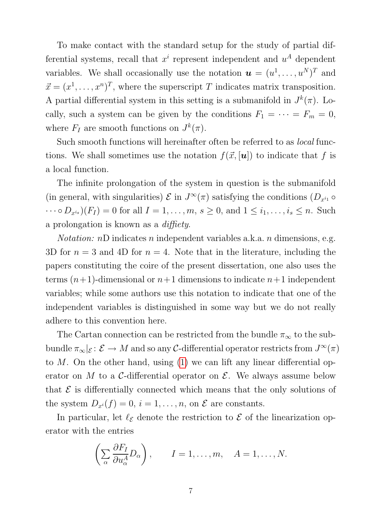To make contact with the standard setup for the study of partial differential systems, recall that  $x^i$  represent independent and  $u^A$  dependent variables. We shall occasionally use the notation  $\mathbf{u} = (u^1, \dots, u^N)^T$  and  $\vec{x} = (x^1, \dots, x^n)^T$ , where the superscript T indicates matrix transposition. A partial differential system in this setting is a submanifold in  $J^k(\pi)$ . Locally, such a system can be given by the conditions  $F_1 = \cdots = F_m = 0$ , where  $F_I$  are smooth functions on  $J^k(\pi)$ .

Such smooth functions will hereinafter often be referred to as local functions. We shall sometimes use the notation  $f(\vec{x}, [\boldsymbol{u}])$  to indicate that f is a local function.

The infinite prolongation of the system in question is the submanifold (in general, with singularities)  $\mathcal E$  in  $J^{\infty}(\pi)$  satisfying the conditions  $(D_{x^{i_1}} \circ$  $\cdots \circ D_{x^{i_s}}(F_I) = 0$  for all  $I = 1, \ldots, m, s \ge 0$ , and  $1 \le i_1, \ldots, i_s \le n$ . Such a prolongation is known as a diffiety.

*Notation:*  $nD$  indicates  $n$  independent variables a.k.a.  $n$  dimensions, e.g. 3D for  $n = 3$  and 4D for  $n = 4$ . Note that in the literature, including the papers constituting the coire of the present dissertation, one also uses the terms  $(n+1)$ -dimensional or  $n+1$  dimensions to indicate  $n+1$  independent variables; while some authors use this notation to indicate that one of the independent variables is distinguished in some way but we do not really adhere to this convention here.

The Cartan connection can be restricted from the bundle  $\pi_{\infty}$  to the subbundle  $\pi_{\infty} |_{\mathcal{E}} : \mathcal{E} \to M$  and so any C-differential operator restricts from  $J^{\infty}(\pi)$ to  $M$ . On the other hand, using [\(1\)](#page-8-1) we can lift any linear differential operator on  $M$  to a C-differential operator on  $\mathcal{E}$ . We always assume below that  $\mathcal E$  is differentially connected which means that the only solutions of the system  $D_{x^i}(f) = 0$ ,  $i = 1, ..., n$ , on  $\mathcal E$  are constants.

In particular, let  $\ell_{\mathcal{E}}$  denote the restriction to  $\mathcal{E}$  of the linearization operator with the entries

$$
\left(\sum_{\alpha} \frac{\partial F_I}{\partial u_{\alpha}^A} D_{\alpha}\right), \qquad I = 1, \dots, m, \quad A = 1, \dots, N.
$$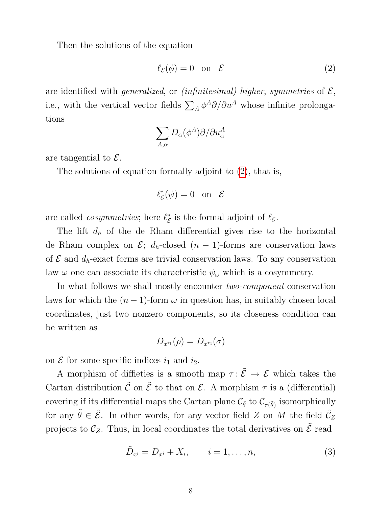Then the solutions of the equation

<span id="page-10-0"></span>
$$
\ell_{\mathcal{E}}(\phi) = 0 \quad \text{on} \quad \mathcal{E} \tag{2}
$$

are identified with *generalized*, or *(infinitesimal) higher, symmetries* of  $\mathcal{E}$ , i.e., with the vertical vector fields  $\sum_A \phi^A \partial/\partial u^A$  whose infinite prolongations

$$
\sum_{A,\alpha} D_{\alpha}(\phi^A) \partial/\partial u_{\alpha}^A
$$

are tangential to  $\mathcal{E}$ .

The solutions of equation formally adjoint to [\(2\)](#page-10-0), that is,

$$
\ell_{\mathcal{E}}^*(\psi)=0 \quad \text{on} \quad \mathcal{E}
$$

are called *cosymmetries*; here  $\ell_{\mathcal{E}}^*$  $\overset{*}{\varepsilon}$  is the formal adjoint of  $\ell_{\mathcal{E}}$ .

The lift  $d_h$  of the de Rham differential gives rise to the horizontal de Rham complex on  $\mathcal{E}$ ;  $d_h$ -closed  $(n-1)$ -forms are conservation laws of  $\mathcal E$  and  $d_h$ -exact forms are trivial conservation laws. To any conservation law  $\omega$  one can associate its characteristic  $\psi_{\omega}$  which is a cosymmetry.

In what follows we shall mostly encounter *two-component* conservation laws for which the  $(n - 1)$ -form  $\omega$  in question has, in suitably chosen local coordinates, just two nonzero components, so its closeness condition can be written as

$$
D_{x^{i_1}}(\rho)=D_{x^{i_2}}(\sigma)
$$

on  $\mathcal E$  for some specific indices  $i_1$  and  $i_2$ .

A morphism of difficties is a smooth map  $\tau: \tilde{\mathcal{E}} \to \mathcal{E}$  which takes the Cartan distribution  $\tilde{\mathcal{C}}$  on  $\tilde{\mathcal{E}}$  to that on  $\mathcal{E}$ . A morphism  $\tau$  is a (differential) covering if its differential maps the Cartan plane  $\mathcal{C}_{\tilde{\theta}}$  to  $\mathcal{C}_{\tau(\tilde{\theta})}$  isomorphically for any  $\tilde{\theta} \in \tilde{\mathcal{E}}$ . In other words, for any vector field Z on M the field  $\tilde{\mathcal{C}}_Z$ projects to  $\mathcal{C}_Z$ . Thus, in local coordinates the total derivatives on  $\tilde{\mathcal{E}}$  read

<span id="page-10-1"></span>
$$
\tilde{D}_{x^i} = D_{x^i} + X_i, \qquad i = 1, \dots, n,
$$
\n(3)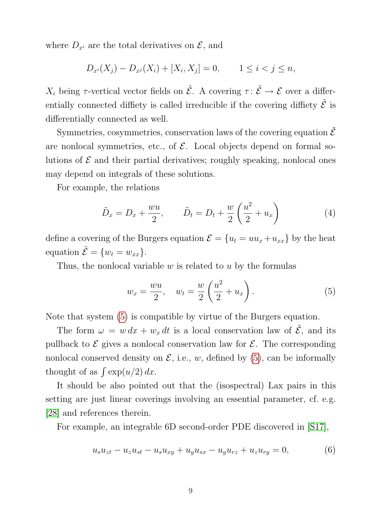where  $D_{x^i}$  are the total derivatives on  $\mathcal{E}$ , and

$$
D_{x^{i}}(X_{j}) - D_{x^{j}}(X_{i}) + [X_{i}, X_{j}] = 0, \qquad 1 \leq i < j \leq n,
$$

 $X_i$  being  $\tau$ -vertical vector fields on  $\tilde{\mathcal{E}}$ . A covering  $\tau : \tilde{\mathcal{E}} \to \mathcal{E}$  over a differentially connected diffiety is called irreducible if the covering diffiety  $\tilde{\mathcal{E}}$  is differentially connected as well.

Symmetries, cosymmetries, conservation laws of the covering equation  $\tilde{\mathcal{E}}$ are nonlocal symmetries, etc., of  $\mathcal E$ . Local objects depend on formal solutions of  $\mathcal E$  and their partial derivatives; roughly speaking, nonlocal ones may depend on integrals of these solutions.

For example, the relations

$$
\tilde{D}_x = D_x + \frac{wu}{2}, \qquad \tilde{D}_t = D_t + \frac{w}{2} \left(\frac{u^2}{2} + u_x\right) \tag{4}
$$

define a covering of the Burgers equation  $\mathcal{E} = \{u_t = uu_x + u_{xx}\}\$  by the heat equation  $\tilde{\mathcal{E}} = \{w_t = w_{xx}\}.$ 

Thus, the nonlocal variable  $w$  is related to  $u$  by the formulas

<span id="page-11-0"></span>
$$
w_x = \frac{wu}{2}, \quad w_t = \frac{w}{2} \left(\frac{u^2}{2} + u_x\right). \tag{5}
$$

Note that system [\(5\)](#page-11-0) is compatible by virtue of the Burgers equation.

The form  $\omega = w dx + w_x dt$  is a local conservation law of  $\tilde{\mathcal{E}}$ , and its pullback to  $\mathcal E$  gives a nonlocal conservation law for  $\mathcal E$ . The corresponding nonlocal conserved density on  $\mathcal{E}$ , i.e., w, defined by [\(5\)](#page-11-0), can be informally thought of as  $\int \exp(u/2) dx$ .

It should be also pointed out that the (isospectral) Lax pairs in this setting are just linear coverings involving an essential parameter, cf. e.g. [\[28\]](#page-38-1) and references therein.

For example, an integrable 6D second-order PDE discovered in [\[S17\]](#page-35-1),

<span id="page-11-1"></span>
$$
u_s u_{zt} - u_z u_{st} - u_s u_{xy} + u_y u_{sx} - u_y u_{rz} + u_z u_{ry} = 0,
$$
\n(6)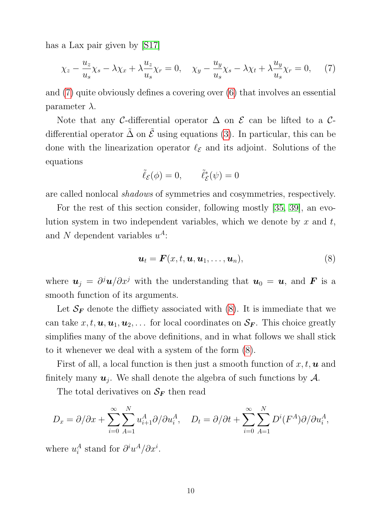has a Lax pair given by [\[S17\]](#page-35-1)

<span id="page-12-0"></span>
$$
\chi_z - \frac{u_z}{u_s} \chi_s - \lambda \chi_x + \lambda \frac{u_z}{u_s} \chi_r = 0, \quad \chi_y - \frac{u_y}{u_s} \chi_s - \lambda \chi_t + \lambda \frac{u_y}{u_s} \chi_r = 0, \quad (7)
$$

and [\(7\)](#page-12-0) quite obviously defines a covering over [\(6\)](#page-11-1) that involves an essential parameter  $\lambda$ .

Note that any C-differential operator  $\Delta$  on  $\mathcal E$  can be lifted to a Cdifferential operator  $\tilde{\Delta}$  on  $\tilde{\mathcal{E}}$  using equations [\(3\)](#page-10-1). In particular, this can be done with the linearization operator  $\ell_{\mathcal{E}}$  and its adjoint. Solutions of the equations

$$
\tilde{\ell}_{\mathcal{E}}(\phi) = 0, \qquad \tilde{\ell}_{\mathcal{E}}^*(\psi) = 0
$$

are called nonlocal shadows of symmetries and cosymmetries, respectively.

For the rest of this section consider, following mostly [\[35,](#page-39-3) [39\]](#page-39-0), an evolution system in two independent variables, which we denote by  $x$  and  $t$ , and N dependent variables  $u^A$ :

<span id="page-12-1"></span>
$$
\mathbf{u}_t = \mathbf{F}(x, t, \mathbf{u}, \mathbf{u}_1, \dots, \mathbf{u}_n), \tag{8}
$$

where  $u_j = \partial^j u/\partial x^j$  with the understanding that  $u_0 = u$ , and F is a smooth function of its arguments.

Let  $\mathcal{S}_F$  denote the diffiety associated with [\(8\)](#page-12-1). It is immediate that we can take  $x, t, u, u_1, u_2, \ldots$  for local coordinates on  $S_F$ . This choice greatly simplifies many of the above definitions, and in what follows we shall stick to it whenever we deal with a system of the form [\(8\)](#page-12-1).

First of all, a local function is then just a smooth function of  $x, t, u$  and finitely many  $u_j$ . We shall denote the algebra of such functions by  $\mathcal{A}$ .

The total derivatives on  $S_F$  then read

$$
D_x = \partial/\partial x + \sum_{i=0}^{\infty} \sum_{A=1}^{N} u_{i+1}^A \partial/\partial u_i^A, \quad D_t = \partial/\partial t + \sum_{i=0}^{\infty} \sum_{A=1}^{N} D^i(F^A) \partial/\partial u_i^A,
$$

where  $u_i^A$  $i<sup>A</sup>$  stand for  $\partial^{i} u^{A}/\partial x^{i}$ .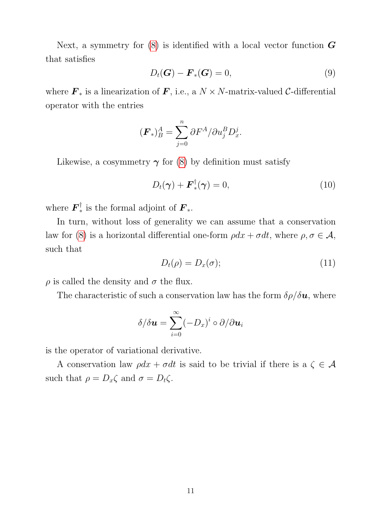Next, a symmetry for  $(8)$  is identified with a local vector function  $\boldsymbol{G}$ that satisfies

$$
D_t(\mathbf{G}) - \mathbf{F}_*(\mathbf{G}) = 0, \tag{9}
$$

where  $\mathbf{F}_{*}$  is a linearization of  $\mathbf{F}$ , i.e., a  $N \times N$ -matrix-valued C-differential operator with the entries

$$
(\boldsymbol{F}_*)^A_B = \sum_{j=0}^n \partial F^A / \partial u_j^B D_x^j.
$$

Likewise, a cosymmetry  $\gamma$  for [\(8\)](#page-12-1) by definition must satisfy

$$
D_t(\boldsymbol{\gamma}) + \boldsymbol{F}_*^{\dagger}(\boldsymbol{\gamma}) = 0, \qquad (10)
$$

where  $\boldsymbol{F}_*^{\dagger}$ <sup> $\frac{1}{*}$ </sup> is the formal adjoint of  $\mathbf{F}_{*}$ .

In turn, without loss of generality we can assume that a conservation law for [\(8\)](#page-12-1) is a horizontal differential one-form  $\rho dx + \sigma dt$ , where  $\rho, \sigma \in \mathcal{A}$ , such that

<span id="page-13-0"></span>
$$
D_t(\rho) = D_x(\sigma); \tag{11}
$$

 $\rho$  is called the density and  $\sigma$  the flux.

The characteristic of such a conservation law has the form  $\delta \rho / \delta u$ , where

$$
\delta/\delta \boldsymbol{u} = \sum_{i=0}^{\infty} (-D_x)^i \circ \partial/\partial \boldsymbol{u}_i
$$

is the operator of variational derivative.

A conservation law  $\rho dx + \sigma dt$  is said to be trivial if there is a  $\zeta \in \mathcal{A}$ such that  $\rho = D_x \zeta$  and  $\sigma = D_t \zeta$ .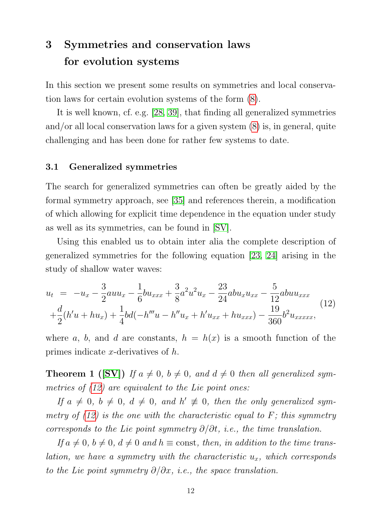# <span id="page-14-0"></span>3 Symmetries and conservation laws for evolution systems

In this section we present some results on symmetries and local conservation laws for certain evolution systems of the form [\(8\)](#page-12-1).

It is well known, cf. e.g. [\[28,](#page-38-1) [39\]](#page-39-0), that finding all generalized symmetries and/or all local conservation laws for a given system [\(8\)](#page-12-1) is, in general, quite challenging and has been done for rather few systems to date.

#### <span id="page-14-1"></span>3.1 Generalized symmetries

The search for generalized symmetries can often be greatly aided by the formal symmetry approach, see [\[35\]](#page-39-3) and references therein, a modification of which allowing for explicit time dependence in the equation under study as well as its symmetries, can be found in [\[SV\]](#page-35-2).

Using this enabled us to obtain inter alia the complete description of generalized symmetries for the following equation [\[23,](#page-38-5) [24\]](#page-38-6) arising in the study of shallow water waves:

<span id="page-14-2"></span>
$$
u_{t} = -u_{x} - \frac{3}{2}auu_{x} - \frac{1}{6}bu_{xxx} + \frac{3}{8}a^{2}u^{2}u_{x} - \frac{23}{24}abu_{x}u_{xx} - \frac{5}{12}abuu_{xxx}
$$
  
+
$$
\frac{d}{2}(h'u + hu_{x}) + \frac{1}{4}bd(-h'''u - h''u_{x} + h'u_{xx} + hu_{xxx}) - \frac{19}{360}b^{2}u_{xxxxx},
$$
(12)

where a, b, and d are constants,  $h = h(x)$  is a smooth function of the primes indicate x-derivatives of h.

**Theorem 1** ([\[SV\]](#page-35-2)) If  $a \neq 0$ ,  $b \neq 0$ , and  $d \neq 0$  then all generalized symmetries of  $(12)$  are equivalent to the Lie point ones:

If  $a \neq 0, b \neq 0, d \neq 0, and h' \neq 0, then the only generalized sym$ metry of  $(12)$  is the one with the characteristic equal to F; this symmetry corresponds to the Lie point symmetry  $\partial/\partial t$ , i.e., the time translation.

If  $a \neq 0$ ,  $b \neq 0$ ,  $d \neq 0$  and  $h \equiv$  const, then, in addition to the time translation, we have a symmetry with the characteristic  $u_x$ , which corresponds to the Lie point symmetry  $\partial/\partial x$ , i.e., the space translation.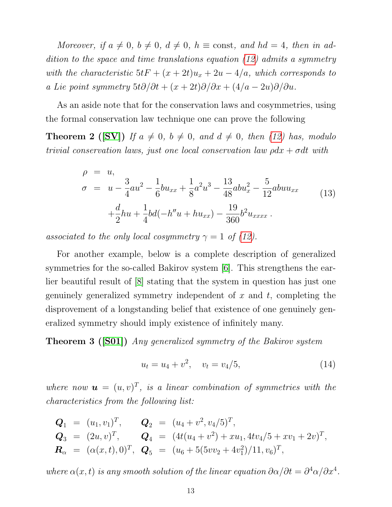Moreover, if  $a \neq 0$ ,  $b \neq 0$ ,  $d \neq 0$ ,  $h \equiv \text{const}$ , and  $hd = 4$ , then in addition to the space and time translations equation [\(12\)](#page-14-2) admits a symmetry with the characteristic  $5tF + (x + 2t)u_x + 2u - 4/a$ , which corresponds to a Lie point symmetry  $5t\partial/\partial t + (x+2t)\partial/\partial x + (4/a - 2u)\partial/\partial u$ .

As an aside note that for the conservation laws and cosymmetries, using the formal conservation law technique one can prove the following

**Theorem 2** ([\[SV\]](#page-35-2)) If  $a \neq 0$ ,  $b \neq 0$ , and  $d \neq 0$ , then [\(12\)](#page-14-2) has, modulo trivial conservation laws, just one local conservation law  $\rho dx + \sigma dt$  with

$$
\rho = u,
$$
\n
$$
\sigma = u - \frac{3}{4}au^2 - \frac{1}{6}bu_{xx} + \frac{1}{8}a^2u^3 - \frac{13}{48}abu_x^2 - \frac{5}{12}abuu_{xx}
$$
\n
$$
+ \frac{d}{2}hu + \frac{1}{4}bd(-h''u + hu_{xx}) - \frac{19}{360}b^2u_{xxxx}.
$$
\n(13)

associated to the only local cosymmetry  $\gamma = 1$  of [\(12\)](#page-14-2).

For another example, below is a complete description of generalized symmetries for the so-called Bakirov system [\[6\]](#page-36-5). This strengthens the earlier beautiful result of [\[8\]](#page-36-6) stating that the system in question has just one genuinely generalized symmetry independent of  $x$  and  $t$ , completing the disprovement of a longstanding belief that existence of one genuinely generalized symmetry should imply existence of infinitely many.

**Theorem 3 ([\[S01\]](#page-35-3))** Any generalized symmetry of the Bakirov system

<span id="page-15-0"></span>
$$
u_t = u_4 + v^2, \quad v_t = v_4/5,\tag{14}
$$

where now  $\mathbf{u} = (u, v)^T$ , is a linear combination of symmetries with the characteristics from the following list:

$$
Q_1 = (u_1, v_1)^T, \t Q_2 = (u_4 + v^2, v_4/5)^T,
$$
  
\n
$$
Q_3 = (2u, v)^T, \t Q_4 = (4t(u_4 + v^2) + xu_1, 4tv_4/5 + xv_1 + 2v)^T,
$$
  
\n
$$
R_\alpha = (\alpha(x, t), 0)^T, \t Q_5 = (u_6 + 5(5vv_2 + 4v_1^2)/11, v_6)^T,
$$

where  $\alpha(x, t)$  is any smooth solution of the linear equation  $\partial \alpha/\partial t = \partial^4 \alpha/\partial x^4$ .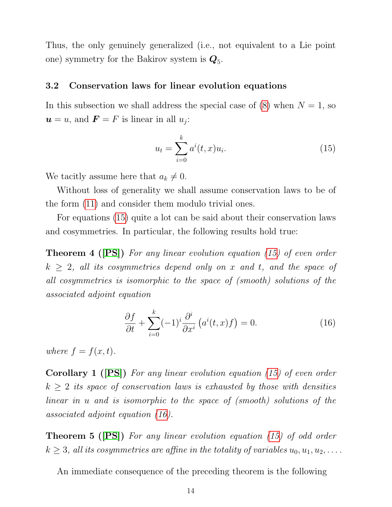Thus, the only genuinely generalized (i.e., not equivalent to a Lie point one) symmetry for the Bakirov system is  $\mathbf{Q}_5$ .

#### <span id="page-16-0"></span>3.2 Conservation laws for linear evolution equations

In this subsection we shall address the special case of  $(8)$  when  $N = 1$ , so  $u = u$ , and  $\mathbf{F} = F$  is linear in all  $u_j$ :

<span id="page-16-1"></span>
$$
u_t = \sum_{i=0}^{k} a^i(t, x) u_i.
$$
 (15)

We tacitly assume here that  $a_k \neq 0$ .

Without loss of generality we shall assume conservation laws to be of the form [\(11\)](#page-13-0) and consider them modulo trivial ones.

For equations [\(15\)](#page-16-1) quite a lot can be said about their conservation laws and cosymmetries. In particular, the following results hold true:

**Theorem 4 ([\[PS\]](#page-35-4))** For any linear evolution equation [\(15\)](#page-16-1) of even order  $k \geq 2$ , all its cosymmetries depend only on x and t, and the space of all cosymmetries is isomorphic to the space of (smooth) solutions of the associated adjoint equation

<span id="page-16-2"></span>
$$
\frac{\partial f}{\partial t} + \sum_{i=0}^{k} (-1)^i \frac{\partial^i}{\partial x^i} \left( a^i(t, x) f \right) = 0. \tag{16}
$$

where  $f = f(x, t)$ .

Corollary 1 ([\[PS\]](#page-35-4)) For any linear evolution equation [\(15\)](#page-16-1) of even order  $k \geq 2$  its space of conservation laws is exhausted by those with densities linear in u and is isomorphic to the space of (smooth) solutions of the associated adjoint equation [\(16\)](#page-16-2).

**Theorem 5 ([\[PS\]](#page-35-4))** For any linear evolution equation [\(15\)](#page-16-1) of odd order  $k \geq 3$ , all its cosymmetries are affine in the totality of variables  $u_0, u_1, u_2, \ldots$ .

An immediate consequence of the preceding theorem is the following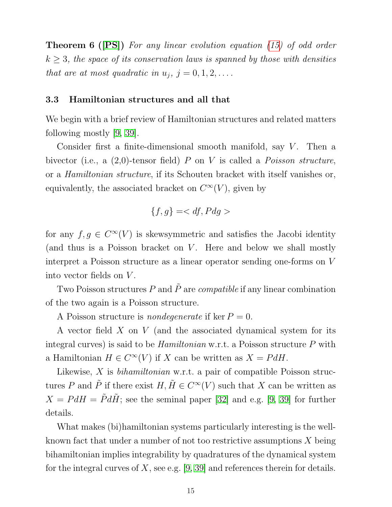**Theorem 6 ([\[PS\]](#page-35-4))** For any linear evolution equation [\(15\)](#page-16-1) of odd order  $k \geq 3$ , the space of its conservation laws is spanned by those with densities that are at most quadratic in  $u_j$ ,  $j = 0, 1, 2, \ldots$ .

#### <span id="page-17-0"></span>3.3 Hamiltonian structures and all that

We begin with a brief review of Hamiltonian structures and related matters following mostly [\[9,](#page-36-1) [39\]](#page-39-0).

Consider first a finite-dimensional smooth manifold, say  $V$ . Then a bivector (i.e., a  $(2,0)$ -tensor field) P on V is called a Poisson structure, or a Hamiltonian structure, if its Schouten bracket with itself vanishes or, equivalently, the associated bracket on  $C^{\infty}(V)$ , given by

$$
\{f,g\}=
$$

for any  $f, g \in C^{\infty}(V)$  is skewsymmetric and satisfies the Jacobi identity (and thus is a Poisson bracket on  $V$ . Here and below we shall mostly interpret a Poisson structure as a linear operator sending one-forms on V into vector fields on V .

Two Poisson structures P and  $\tilde{P}$  are *compatible* if any linear combination of the two again is a Poisson structure.

A Poisson structure is *nondegenerate* if ker  $P = 0$ .

A vector field  $X$  on  $V$  (and the associated dynamical system for its integral curves) is said to be  $Hamiltonian$  w.r.t. a Poisson structure  $P$  with a Hamiltonian  $H \in C^{\infty}(V)$  if X can be written as  $X = P dH$ .

Likewise,  $X$  is *bihamiltonian* w.r.t. a pair of compatible Poisson structures P and  $\tilde{P}$  if there exist  $H, \tilde{H} \in C^{\infty}(V)$  such that X can be written as  $X = P dH = \tilde{P} d\tilde{H}$ ; see the seminal paper [\[32\]](#page-38-7) and e.g. [\[9,](#page-36-1) [39\]](#page-39-0) for further details.

What makes (bi)hamiltonian systems particularly interesting is the wellknown fact that under a number of not too restrictive assumptions  $X$  being bihamiltonian implies integrability by quadratures of the dynamical system for the integral curves of X, see e.g. [\[9,](#page-36-1) [39\]](#page-39-0) and references therein for details.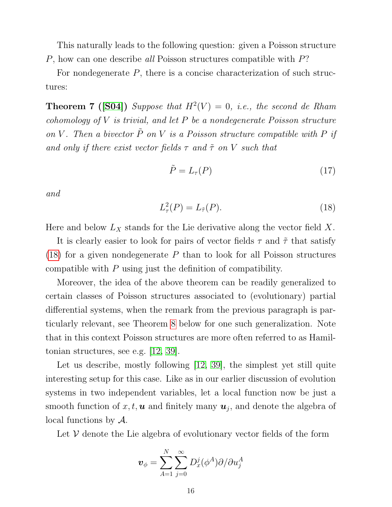This naturally leads to the following question: given a Poisson structure P, how can one describe all Poisson structures compatible with P?

For nondegenerate  $P$ , there is a concise characterization of such structures:

<span id="page-18-1"></span>**Theorem 7** ([\[S04\]](#page-35-5)) Suppose that  $H^2(V) = 0$ , i.e., the second de Rham cohomology of  $V$  is trivial, and let  $P$  be a nondegenerate Poisson structure on V. Then a bivector  $\tilde{P}$  on V is a Poisson structure compatible with P if and only if there exist vector fields  $\tau$  and  $\tilde{\tau}$  on V such that

$$
\tilde{P} = L_{\tau}(P) \tag{17}
$$

and

<span id="page-18-0"></span>
$$
L^2(\mathcal{P}) = L_{\tilde{\tau}}(\mathcal{P}).\tag{18}
$$

Here and below  $L_X$  stands for the Lie derivative along the vector field X.

It is clearly easier to look for pairs of vector fields  $\tau$  and  $\tilde{\tau}$  that satisfy  $(18)$  for a given nondegenerate P than to look for all Poisson structures compatible with P using just the definition of compatibility.

Moreover, the idea of the above theorem can be readily generalized to certain classes of Poisson structures associated to (evolutionary) partial differential systems, when the remark from the previous paragraph is particularly relevant, see Theorem [8](#page-21-0) below for one such generalization. Note that in this context Poisson structures are more often referred to as Hamiltonian structures, see e.g. [\[12,](#page-37-3) [39\]](#page-39-0).

Let us describe, mostly following [\[12,](#page-37-3) [39\]](#page-39-0), the simplest yet still quite interesting setup for this case. Like as in our earlier discussion of evolution systems in two independent variables, let a local function now be just a smooth function of  $x, t, \mathbf{u}$  and finitely many  $\mathbf{u}_j$ , and denote the algebra of local functions by A.

Let  $V$  denote the Lie algebra of evolutionary vector fields of the form

$$
\bm{v}_{\phi}=\sum_{A=1}^{N}\sum_{j=0}^{\infty}D_{x}^{j}(\phi^{A})\partial/\partial u_{j}^{A}
$$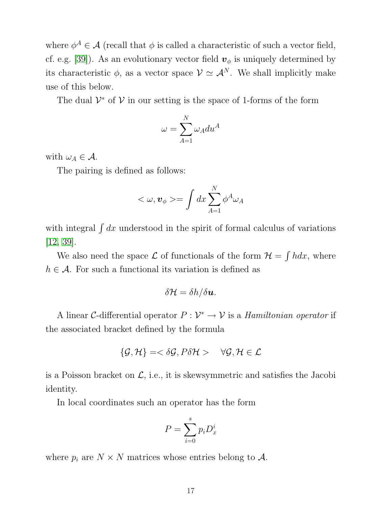where  $\phi^A \in \mathcal{A}$  (recall that  $\phi$  is called a characteristic of such a vector field, cf. e.g. [\[39\]](#page-39-0)). As an evolutionary vector field  $\mathbf{v}_{\phi}$  is uniquely determined by its characteristic  $\phi$ , as a vector space  $\mathcal{V} \simeq \mathcal{A}^N$ . We shall implicitly make use of this below.

The dual  $\mathcal{V}^*$  of  $\mathcal{V}$  in our setting is the space of 1-forms of the form

$$
\omega = \sum_{A=1}^{N} \omega_A du^A
$$

with  $\omega_A \in \mathcal{A}$ .

The pairing is defined as follows:

$$
<\omega,\boldsymbol{v}_{\phi}>=\int dx\sum_{A=1}^{N}\phi^{A}\omega_{A}
$$

with integral  $\int dx$  understood in the spirit of formal calculus of variations [\[12,](#page-37-3) [39\]](#page-39-0).

We also need the space  $\mathcal L$  of functionals of the form  $\mathcal H = \int h dx$ , where  $h \in \mathcal{A}$ . For such a functional its variation is defined as

$$
\delta \mathcal{H} = \delta h / \delta \boldsymbol{u}.
$$

A linear C-differential operator  $P: \mathcal{V}^* \to \mathcal{V}$  is a *Hamiltonian operator* if the associated bracket defined by the formula

$$
\{\mathcal{G},\mathcal{H}\} = <\delta\mathcal{G}, P\delta\mathcal{H}> \quad \forall \mathcal{G}, \mathcal{H} \in \mathcal{L}
$$

is a Poisson bracket on  $\mathcal{L}$ , i.e., it is skewsymmetric and satisfies the Jacobi identity.

In local coordinates such an operator has the form

$$
P = \sum_{i=0}^{s} p_i D_x^i
$$

where  $p_i$  are  $N \times N$  matrices whose entries belong to A.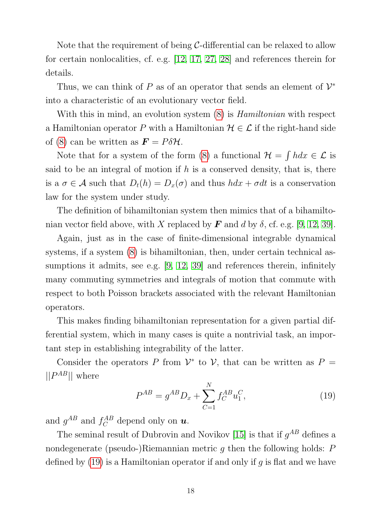Note that the requirement of being  $C$ -differential can be relaxed to allow for certain nonlocalities, cf. e.g. [\[12,](#page-37-3) [17,](#page-37-4) [27,](#page-38-3) [28\]](#page-38-1) and references therein for details.

Thus, we can think of P as of an operator that sends an element of  $\mathcal{V}^*$ into a characteristic of an evolutionary vector field.

With this in mind, an evolution system  $(8)$  is *Hamiltonian* with respect a Hamiltonian operator P with a Hamiltonian  $\mathcal{H} \in \mathcal{L}$  if the right-hand side of [\(8\)](#page-12-1) can be written as  $\mathbf{F} = P \delta \mathcal{H}$ .

Note that for a system of the form [\(8\)](#page-12-1) a functional  $\mathcal{H} = \int h dx \in \mathcal{L}$  is said to be an integral of motion if  $h$  is a conserved density, that is, there is a  $\sigma \in A$  such that  $D_t(h) = D_x(\sigma)$  and thus  $h dx + \sigma dt$  is a conservation law for the system under study.

The definition of bihamiltonian system then mimics that of a bihamiltonian vector field above, with X replaced by F and d by  $\delta$ , cf. e.g. [\[9,](#page-36-1) [12,](#page-37-3) [39\]](#page-39-0).

Again, just as in the case of finite-dimensional integrable dynamical systems, if a system [\(8\)](#page-12-1) is bihamiltonian, then, under certain technical as-sumptions it admits, see e.g. [\[9,](#page-36-1) [12,](#page-37-3) [39\]](#page-39-0) and references therein, infinitely many commuting symmetries and integrals of motion that commute with respect to both Poisson brackets associated with the relevant Hamiltonian operators.

This makes finding bihamiltonian representation for a given partial differential system, which in many cases is quite a nontrivial task, an important step in establishing integrability of the latter.

Consider the operators P from  $\mathcal{V}^*$  to V, that can be written as  $P =$  $\Vert P^{AB} \Vert$  where

<span id="page-20-0"></span>
$$
P^{AB} = g^{AB} D_x + \sum_{C=1}^{N} f_C^{AB} u_1^C,
$$
\n(19)

and  $g^{AB}$  and  $f_C^{AB}$  depend only on **u**.

The seminal result of Dubrovin and Novikov [\[15\]](#page-37-5) is that if  $g^{AB}$  defines a nondegenerate (pseudo-)Riemannian metric  $g$  then the following holds:  $P$ defined by  $(19)$  is a Hamiltonian operator if and only if g is flat and we have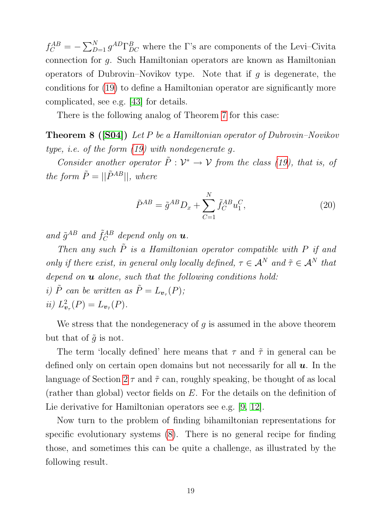$f_C^{AB} = -\sum_{D=1}^{N} g^{AD} \Gamma_{DC}^{B}$  where the  $\Gamma$ 's are components of the Levi–Civita connection for g. Such Hamiltonian operators are known as Hamiltonian operators of Dubrovin–Novikov type. Note that if q is degenerate, the conditions for [\(19\)](#page-20-0) to define a Hamiltonian operator are significantly more complicated, see e.g. [\[43\]](#page-39-4) for details.

There is the following analog of Theorem [7](#page-18-1) for this case:

Theorem 8 ([\[S04\]](#page-35-5)) Let P be a Hamiltonian operator of Dubrovin–Novikov type, *i.e.* of the form  $(19)$  with nondegenerate q.

Consider another operator  $\tilde{P}: \mathcal{V}^* \to \mathcal{V}$  from the class [\(19\)](#page-20-0), that is, of the form  $\tilde{P} = ||\tilde{P}^{AB}||$ , where

<span id="page-21-0"></span>
$$
\tilde{P}^{AB} = \tilde{g}^{AB} D_x + \sum_{C=1}^{N} \tilde{f}_C^{AB} u_1^C,
$$
\n(20)

and  $\tilde{g}^{AB}$  and  $\tilde{f}_C^{AB}$  $\mathop C\limits^{AB}$  depend only on  $\bm u.$ 

Then any such  $\tilde{P}$  is a Hamiltonian operator compatible with P if and only if there exist, in general only locally defined,  $\tau \in A^N$  and  $\tilde{\tau} \in A^N$  that depend on  $\boldsymbol{u}$  alone, such that the following conditions hold: i)  $\tilde{P}$  can be written as  $\tilde{P} = L_{\boldsymbol{v}_{\tau}}(P)$ ;  $ii) L^2_{\boldsymbol{v}}$  $v_{\tau}(P) = L_{\nu_{\tilde{\tau}}}(P).$ 

We stress that the nondegeneracy of  $g$  is assumed in the above theorem but that of  $\tilde{q}$  is not.

The term 'locally defined' here means that  $\tau$  and  $\tilde{\tau}$  in general can be defined only on certain open domains but not necessarily for all  $u$ . In the language of Section  $2 \tau$  and  $\tilde{\tau}$  can, roughly speaking, be thought of as local (rather than global) vector fields on E. For the details on the definition of Lie derivative for Hamiltonian operators see e.g. [\[9,](#page-36-1) [12\]](#page-37-3).

<span id="page-21-1"></span>Now turn to the problem of finding bihamiltonian representations for specific evolutionary systems [\(8\)](#page-12-1). There is no general recipe for finding those, and sometimes this can be quite a challenge, as illustrated by the following result.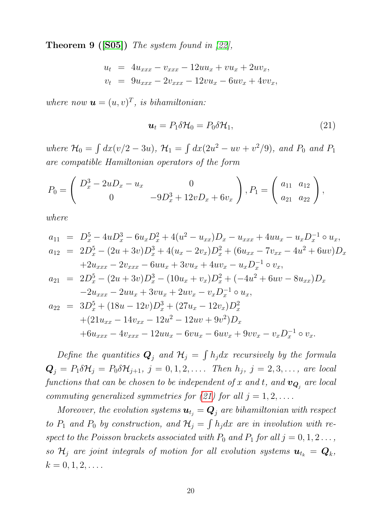**Theorem 9 ([\[S05\]](#page-35-6))** The system found in [\[22\]](#page-37-6),

<span id="page-22-0"></span>
$$
u_t = 4u_{xxx} - v_{xxx} - 12uu_x + vu_x + 2uv_x,
$$
  

$$
v_t = 9u_{xxx} - 2v_{xxx} - 12vu_x - 6uv_x + 4vv_x,
$$

where now  $\mathbf{u} = (u, v)^T$ , is bihamiltonian:

$$
\mathbf{u}_t = P_1 \delta \mathcal{H}_0 = P_0 \delta \mathcal{H}_1,\tag{21}
$$

where  $\mathcal{H}_0 = \int dx (v/2 - 3u)$ ,  $\mathcal{H}_1 = \int dx (2u^2 - uv + v^2/9)$ , and  $P_0$  and  $P_1$ are compatible Hamiltonian operators of the form

$$
P_0 = \begin{pmatrix} D_x^3 - 2uD_x - u_x & 0 \\ 0 & -9D_x^3 + 12vD_x + 6v_x \end{pmatrix}, P_1 = \begin{pmatrix} a_{11} & a_{12} \\ a_{21} & a_{22} \end{pmatrix},
$$

where

$$
a_{11} = D_x^5 - 4uD_x^3 - 6u_xD_x^2 + 4(u^2 - u_{xx})D_x - u_{xxx} + 4uu_x - u_xD_x^{-1} \circ u_x,
$$
  
\n
$$
a_{12} = 2D_x^5 - (2u + 3v)D_x^3 + 4(u_x - 2v_x)D_x^2 + (6u_{xx} - 7v_{xx} - 4u^2 + 6uv)D_x
$$
  
\n
$$
+2u_{xxx} - 2v_{xxx} - 6uu_x + 3vu_x + 4uv_x - u_xD_x^{-1} \circ v_x,
$$
  
\n
$$
a_{21} = 2D_x^5 - (2u + 3v)D_x^3 - (10u_x + v_x)D_x^2 + (-4u^2 + 6uv - 8u_{xx})D_x
$$
  
\n
$$
-2u_{xxx} - 2uu_x + 3vu_x + 2uv_x - v_xD_x^{-1} \circ u_x,
$$
  
\n
$$
a_{22} = 3D_x^5 + (18u - 12v)D_x^3 + (27u_x - 12v_x)D_x^2
$$
  
\n
$$
+ (21u_{xx} - 14v_{xx} - 12u^2 - 12uv + 9v^2)D_x
$$
  
\n
$$
+6u_{xxx} - 4v_{xxx} - 12u u_x - 6vu_x - 6uv_x + 9vv_x - v_xD_x^{-1} \circ v_x.
$$

Define the quantities  $\mathbf{Q}_j$  and  $\mathcal{H}_j = \int h_j dx$  recursively by the formula  $\mathbf{Q}_j = P_1 \delta \mathcal{H}_j = P_0 \delta \mathcal{H}_{j+1}, j = 0, 1, 2, \ldots$  Then  $h_j, j = 2, 3, \ldots$ , are local functions that can be chosen to be independent of  $x$  and  $t,$  and  $\boldsymbol{v}_{\boldsymbol{Q}_j}$  are local commuting generalized symmetries for [\(21\)](#page-22-0) for all  $j = 1, 2, \ldots$ .

Moreover, the evolution systems  $\mathbf{u}_{t_j} = \mathbf{Q}_j$  are bihamiltonian with respect to  $P_1$  and  $P_0$  by construction, and  $\mathcal{H}_j = \int h_j dx$  are in involution with respect to the Poisson brackets associated with  $P_0$  and  $P_1$  for all  $j = 0, 1, 2 \ldots$ , so  $\mathcal{H}_j$  are joint integrals of motion for all evolution systems  $\boldsymbol{u}_{t_k} = \boldsymbol{Q}_k$ ,  $k = 0, 1, 2, \ldots$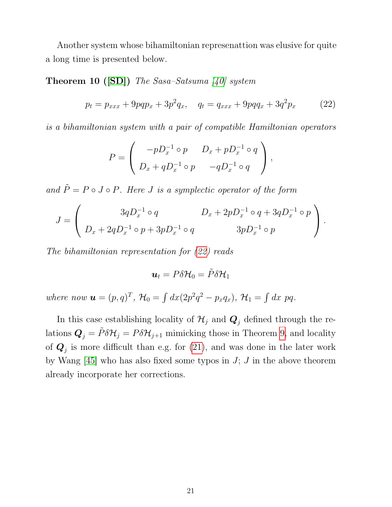Another system whose bihamiltonian represenattion was elusive for quite a long time is presented below.

**Theorem 10 ([\[SD\]](#page-35-7))** The Sasa-Satsuma [\[40\]](#page-39-5) system

<span id="page-23-0"></span>
$$
p_t = p_{xxx} + 9pqp_x + 3p^2q_x, \quad q_t = q_{xxx} + 9pqq_x + 3q^2p_x \tag{22}
$$

is a bihamiltonian system with a pair of compatible Hamiltonian operators

$$
P = \left(\begin{array}{cc} -pD_x^{-1} \circ p & D_x + pD_x^{-1} \circ q \\ D_x + qD_x^{-1} \circ p & -qD_x^{-1} \circ q \end{array}\right),
$$

and  $\tilde{P} = P \circ J \circ P$ . Here *J* is a symplectic operator of the form

$$
J = \begin{pmatrix} 3qD_x^{-1} \circ q & D_x + 2pD_x^{-1} \circ q + 3qD_x^{-1} \circ p \\ D_x + 2qD_x^{-1} \circ p + 3pD_x^{-1} \circ q & 3pD_x^{-1} \circ p \end{pmatrix}.
$$

The bihamiltonian representation for [\(22\)](#page-23-0) reads

$$
\boldsymbol{u}_t = P \delta \mathcal{H}_0 = \tilde{P} \delta \mathcal{H}_1
$$

where now  $\mathbf{u} = (p,q)^T$ ,  $\mathcal{H}_0 = \int dx (2p^2q^2 - p_xq_x)$ ,  $\mathcal{H}_1 = \int dx \, pq$ .

In this case establishing locality of  $\mathcal{H}_j$  and  $\mathbf{Q}_j$  defined through the relations  $\mathbf{Q}_j = \tilde{P} \delta \mathcal{H}_j = P \delta \mathcal{H}_{j+1}$  mimicking those in Theorem [9,](#page-21-1) and locality of  $Q_j$  is more difficult than e.g. for [\(21\)](#page-22-0), and was done in the later work by Wang  $[45]$  who has also fixed some typos in J; J in the above theorem already incorporate her corrections.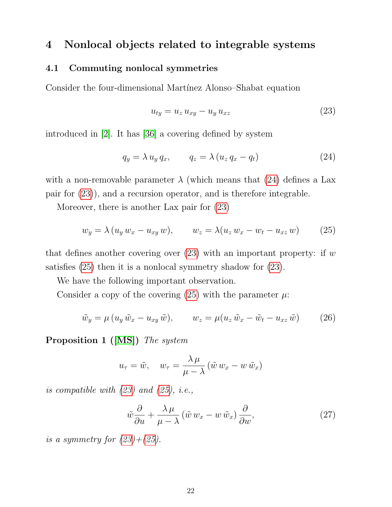## <span id="page-24-0"></span>4 Nonlocal objects related to integrable systems

#### <span id="page-24-1"></span>4.1 Commuting nonlocal symmetries

Consider the four-dimensional Martínez Alonso–Shabat equation

<span id="page-24-3"></span>
$$
u_{ty} = u_z u_{xy} - u_y u_{xz} \tag{23}
$$

introduced in [\[2\]](#page-36-7). It has [\[36\]](#page-39-6) a covering defined by system

<span id="page-24-2"></span>
$$
q_y = \lambda u_y q_x, \qquad q_z = \lambda (u_z q_x - q_t) \tag{24}
$$

with a non-removable parameter  $\lambda$  (which means that [\(24\)](#page-24-2) defines a Lax pair for [\(23\)](#page-24-3)), and a recursion operator, and is therefore integrable.

Moreover, there is another Lax pair for [\(23\)](#page-24-3)

<span id="page-24-4"></span>
$$
w_y = \lambda (u_y w_x - u_{xy} w), \qquad w_z = \lambda (u_z w_x - w_t - u_{xz} w)
$$
 (25)

that defines another covering over  $(23)$  with an important property: if w satisfies [\(25\)](#page-24-4) then it is a nonlocal symmetry shadow for [\(23\)](#page-24-3).

We have the following important observation.

Consider a copy of the covering [\(25\)](#page-24-4) with the parameter  $\mu$ :

$$
\tilde{w}_y = \mu (u_y \tilde{w}_x - u_{xy} \tilde{w}), \qquad w_z = \mu (u_z \tilde{w}_x - \tilde{w}_t - u_{xz} \tilde{w}) \tag{26}
$$

<span id="page-24-6"></span>Proposition 1 ([\[MS\]](#page-35-8)) The system

$$
u_{\tau} = \tilde{w}, \quad w_{\tau} = \frac{\lambda \mu}{\mu - \lambda} (\tilde{w} w_x - w \tilde{w}_x)
$$

is compatible with  $(23)$  and  $(25)$ , i.e.,

<span id="page-24-5"></span>
$$
\tilde{w}\frac{\partial}{\partial u} + \frac{\lambda \mu}{\mu - \lambda} \left(\tilde{w} w_x - w \tilde{w}_x\right) \frac{\partial}{\partial w},\tag{27}
$$

is a symmetry for  $(23)+(25)$  $(23)+(25)$  $(23)+(25)$ .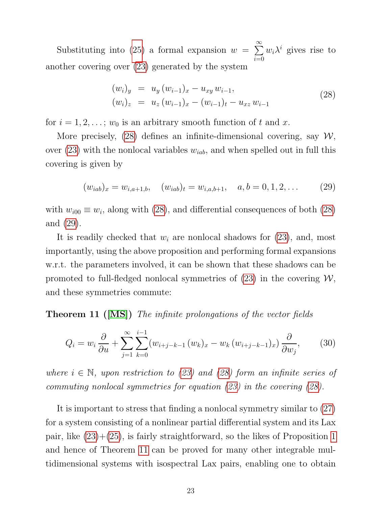Substituting into [\(25\)](#page-24-4) a formal expansion  $w = \sum$ ∞  $i=0$  $w_i \lambda^i$  gives rise to another covering over [\(23\)](#page-24-3) generated by the system

<span id="page-25-0"></span>
$$
(w_i)_y = u_y (w_{i-1})_x - u_{xy} w_{i-1},
$$
  
\n
$$
(w_i)_z = u_z (w_{i-1})_x - (w_{i-1})_t - u_{xz} w_{i-1}
$$
\n(28)

for  $i = 1, 2, \ldots$ ;  $w_0$  is an arbitrary smooth function of t and x.

More precisely, [\(28\)](#page-25-0) defines an infinite-dimensional covering, say  $W$ , over  $(23)$  with the nonlocal variables  $w_{iab}$ , and when spelled out in full this covering is given by

<span id="page-25-1"></span>
$$
(w_{iab})_x = w_{i,a+1,b}, \quad (w_{iab})_t = w_{i,a,b+1}, \quad a, b = 0, 1, 2, \dots \tag{29}
$$

with  $w_{i00} \equiv w_i$ , along with [\(28\)](#page-25-0), and differential consequences of both (28) and [\(29\)](#page-25-1).

It is readily checked that  $w_i$  are nonlocal shadows for  $(23)$ , and, most importantly, using the above proposition and performing formal expansions w.r.t. the parameters involved, it can be shown that these shadows can be promoted to full-fledged nonlocal symmetries of  $(23)$  in the covering  $W$ , and these symmetries commute:

<span id="page-25-2"></span>**Theorem 11 ([\[MS\]](#page-35-8))** The infinite prolongations of the vector fields

$$
Q_i = w_i \frac{\partial}{\partial u} + \sum_{j=1}^{\infty} \sum_{k=0}^{i-1} (w_{i+j-k-1}(w_k)_x - w_k(w_{i+j-k-1})_x) \frac{\partial}{\partial w_j},
$$
 (30)

where  $i \in \mathbb{N}$ , upon restriction to [\(23\)](#page-24-3) and [\(28\)](#page-25-0) form an infinite series of commuting nonlocal symmetries for equation [\(23\)](#page-24-3) in the covering [\(28\)](#page-25-0).

It is important to stress that finding a nonlocal symmetry similar to [\(27\)](#page-24-5) for a system consisting of a nonlinear partial differential system and its Lax pair, like [\(23\)](#page-24-3)+[\(25\)](#page-24-4), is fairly straightforward, so the likes of Proposition [1](#page-24-6) and hence of Theorem [11](#page-25-2) can be proved for many other integrable multidimensional systems with isospectral Lax pairs, enabling one to obtain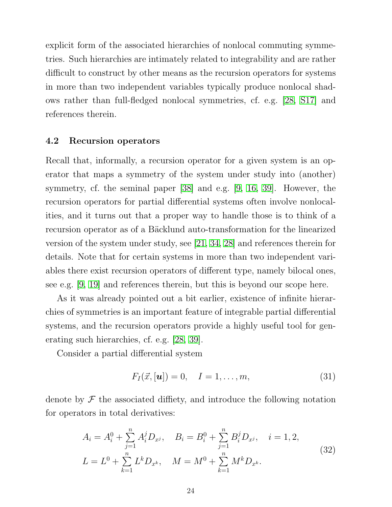explicit form of the associated hierarchies of nonlocal commuting symmetries. Such hierarchies are intimately related to integrability and are rather difficult to construct by other means as the recursion operators for systems in more than two independent variables typically produce nonlocal shadows rather than full-fledged nonlocal symmetries, cf. e.g. [\[28,](#page-38-1) [S17\]](#page-35-1) and references therein.

#### <span id="page-26-0"></span>4.2 Recursion operators

Recall that, informally, a recursion operator for a given system is an operator that maps a symmetry of the system under study into (another) symmetry, cf. the seminal paper [\[38\]](#page-39-7) and e.g. [\[9,](#page-36-1) [16,](#page-37-1) [39\]](#page-39-0). However, the recursion operators for partial differential systems often involve nonlocalities, and it turns out that a proper way to handle those is to think of a recursion operator as of a Bäcklund auto-transformation for the linearized version of the system under study, see [\[21,](#page-37-7) [34,](#page-39-8) [28\]](#page-38-1) and references therein for details. Note that for certain systems in more than two independent variables there exist recursion operators of different type, namely bilocal ones, see e.g. [\[9,](#page-36-1) [19\]](#page-37-8) and references therein, but this is beyond our scope here.

As it was already pointed out a bit earlier, existence of infinite hierarchies of symmetries is an important feature of integrable partial differential systems, and the recursion operators provide a highly useful tool for generating such hierarchies, cf. e.g. [\[28,](#page-38-1) [39\]](#page-39-0).

Consider a partial differential system

<span id="page-26-1"></span>
$$
F_I(\vec{x}, [\mathbf{u}]) = 0, \quad I = 1, \dots, m,
$$
 (31)

denote by  $\mathcal F$  the associated diffiety, and introduce the following notation for operators in total derivatives:

<span id="page-26-2"></span>
$$
A_i = A_i^0 + \sum_{j=1}^n A_i^j D_{x^j}, \quad B_i = B_i^0 + \sum_{j=1}^n B_i^j D_{x^j}, \quad i = 1, 2,
$$
  
\n
$$
L = L^0 + \sum_{k=1}^n L^k D_{x^k}, \quad M = M^0 + \sum_{k=1}^n M^k D_{x^k}.
$$
\n(32)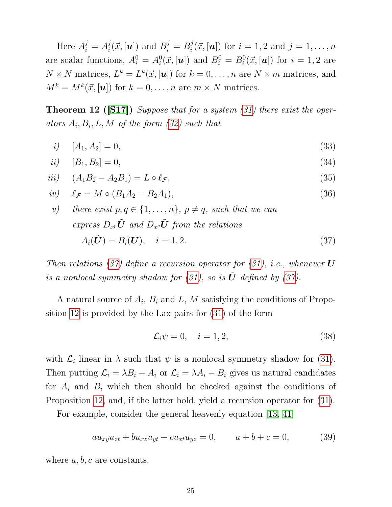Here  $A_i^j = A_i^j$  $i^j(\vec{x}, [\boldsymbol{u}])$  and  $B_i^j = B_i^j$  $i_i^j(\vec{x}, [\boldsymbol{u}])$  for  $i = 1, 2$  and  $j = 1, \ldots, n$ are scalar functions,  $A_i^0 = A_i^0(\vec{x}, [\boldsymbol{u}])$  and  $B_i^0 = B_i^0(\vec{x}, [\boldsymbol{u}])$  for  $i = 1, 2$  are  $N \times N$  matrices,  $L^k = L^k(\vec{x}, \{u\})$  for  $k = 0, \ldots, n$  are  $N \times m$  matrices, and  $M^k = M^k(\vec{x}, |\mathbf{u}|)$  for  $k = 0, \ldots, n$  are  $m \times N$  matrices.

<span id="page-27-1"></span>**Theorem 12** ([\[S17\]](#page-35-1)) Suppose that for a system  $(31)$  there exist the operators  $A_i, B_i, L, M$  of the form  $(32)$  such that

<span id="page-27-0"></span>
$$
i) \t[A_1, A_2] = 0,\t(33)
$$

$$
ii) [B_1, B_2] = 0,
$$
\n(34)

$$
iii) \quad (A_1B_2 - A_2B_1) = L \circ \ell_{\mathcal{F}}, \tag{35}
$$

$$
iv) \quad \ell_{\mathcal{F}} = M \circ (B_1 A_2 - B_2 A_1), \tag{36}
$$

v) there exist  $p, q \in \{1, \ldots, n\}$ ,  $p \neq q$ , such that we can express  $D_{x^p}\tilde{\boldsymbol{U}}$  and  $D_{x^q}\tilde{\boldsymbol{U}}$  from the relations  $A_i(\tilde{\bm{U}}) = B_i(\bm{U}), \quad i = 1, 2.$  (37)

Then relations [\(37\)](#page-27-0) define a recursion operator for [\(31\)](#page-26-1), i.e., whenever  $U$ is a nonlocal symmetry shadow for  $(31)$ , so is  $\tilde{U}$  defined by  $(37)$ .

A natural source of  $A_i$ ,  $B_i$  and L, M satisfying the conditions of Proposition [12](#page-27-1) is provided by the Lax pairs for [\(31\)](#page-26-1) of the form

<span id="page-27-3"></span>
$$
\mathcal{L}_i \psi = 0, \quad i = 1, 2,
$$
\n<sup>(38)</sup>

with  $\mathcal{L}_i$  linear in  $\lambda$  such that  $\psi$  is a nonlocal symmetry shadow for [\(31\)](#page-26-1). Then putting  $\mathcal{L}_i = \lambda B_i - A_i$  or  $\mathcal{L}_i = \lambda A_i - B_i$  gives us natural candidates for  $A_i$  and  $B_i$  which then should be checked against the conditions of Proposition [12,](#page-27-1) and, if the latter hold, yield a recursion operator for [\(31\)](#page-26-1).

For example, consider the general heavenly equation [\[13,](#page-37-9) [41\]](#page-39-9)

<span id="page-27-2"></span>
$$
au_{xy}u_{zt} + bu_{xz}u_{yt} + cu_{xt}u_{yz} = 0, \t a + b + c = 0,
$$
 (39)

where  $a, b, c$  are constants.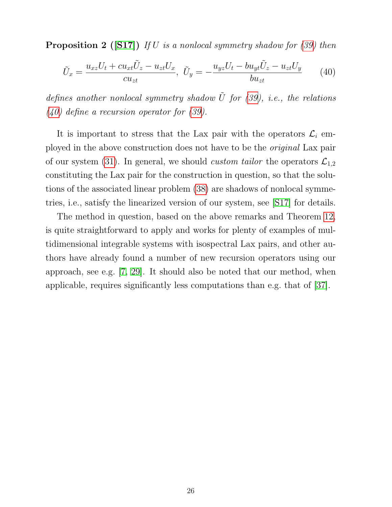**Proposition 2** ([\[S17\]](#page-35-1)) If U is a nonlocal symmetry shadow for  $(39)$  then

<span id="page-28-0"></span>
$$
\tilde{U}_x = \frac{u_{xz}U_t + cu_{xt}\tilde{U}_z - u_{zt}U_x}{cu_{zt}}, \quad \tilde{U}_y = -\frac{u_{yz}U_t - bu_{yt}\tilde{U}_z - u_{zt}U_y}{bu_{zt}} \tag{40}
$$

defines another nonlocal symmetry shadow  $\tilde{U}$  for [\(39\)](#page-27-2), i.e., the relations [\(40\)](#page-28-0) define a recursion operator for [\(39\)](#page-27-2).

It is important to stress that the Lax pair with the operators  $\mathcal{L}_i$  employed in the above construction does not have to be the original Lax pair of our system [\(31\)](#page-26-1). In general, we should *custom tailor* the operators  $\mathcal{L}_{1,2}$ constituting the Lax pair for the construction in question, so that the solutions of the associated linear problem [\(38\)](#page-27-3) are shadows of nonlocal symmetries, i.e., satisfy the linearized version of our system, see [\[S17\]](#page-35-1) for details.

The method in question, based on the above remarks and Theorem [12,](#page-27-1) is quite straightforward to apply and works for plenty of examples of multidimensional integrable systems with isospectral Lax pairs, and other authors have already found a number of new recursion operators using our approach, see e.g. [\[7,](#page-36-8) [29\]](#page-38-8). It should also be noted that our method, when applicable, requires significantly less computations than e.g. that of [\[37\]](#page-39-10).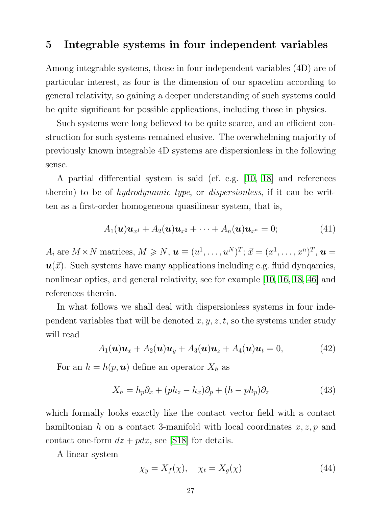### <span id="page-29-0"></span>5 Integrable systems in four independent variables

Among integrable systems, those in four independent variables (4D) are of particular interest, as four is the dimension of our spacetim according to general relativity, so gaining a deeper understanding of such systems could be quite significant for possible applications, including those in physics.

Such systems were long believed to be quite scarce, and an efficient construction for such systems remained elusive. The overwhelming majority of previously known integrable 4D systems are dispersionless in the following sense.

A partial differential system is said (cf. e.g. [\[10,](#page-36-9) [18\]](#page-37-10) and references therein) to be of *hydrodynamic type*, or *dispersionless*, if it can be written as a first-order homogeneous quasilinear system, that is,

$$
A_1(\boldsymbol{u})\boldsymbol{u}_{x^1}+A_2(\boldsymbol{u})\boldsymbol{u}_{x^2}+\cdots+A_n(\boldsymbol{u})\boldsymbol{u}_{x^n}=0;\t\t(41)
$$

 $A_i$  are  $M \times N$  matrices,  $M \geqslant N$ ,  $\boldsymbol{u} \equiv (u^1, \ldots, u^N)^T$ ;  $\vec{x} = (x^1, \ldots, x^n)^T$ ,  $\boldsymbol{u} =$  $u(\vec{x})$ . Such systems have many applications including e.g. fluid dynqamics, nonlinear optics, and general relativity, see for example [\[10,](#page-36-9) [16,](#page-37-1) [18,](#page-37-10) [46\]](#page-40-1) and references therein.

In what follows we shall deal with dispersionless systems in four independent variables that will be denoted  $x, y, z, t$ , so the systems under study will read

<span id="page-29-2"></span>
$$
A_1(\boldsymbol{u})\boldsymbol{u}_x + A_2(\boldsymbol{u})\boldsymbol{u}_y + A_3(\boldsymbol{u})\boldsymbol{u}_z + A_4(\boldsymbol{u})\boldsymbol{u}_t = 0, \qquad (42)
$$

For an  $h = h(p, u)$  define an operator  $X_h$  as

$$
X_h = h_p \partial_x + (ph_z - h_x)\partial_p + (h - ph_p)\partial_z \tag{43}
$$

which formally looks exactly like the contact vector field with a contact hamiltonian h on a contact 3-manifold with local coordinates  $x, z, p$  and contact one-form  $dz + pdx$ , see [\[S18\]](#page-35-9) for details.

A linear system

<span id="page-29-1"></span>
$$
\chi_y = X_f(\chi), \quad \chi_t = X_g(\chi) \tag{44}
$$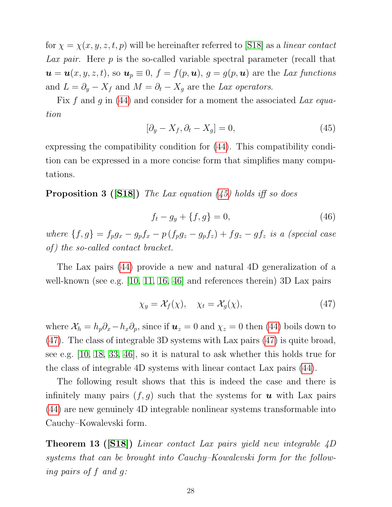for  $\chi = \chi(x, y, z, t, p)$  will be hereinafter referred to [\[S18\]](#page-35-9) as a linear contact Lax pair. Here p is the so-called variable spectral parameter (recall that  $u = u(x, y, z, t)$ , so  $u_p \equiv 0$ ,  $f = f(p, u)$ ,  $g = g(p, u)$  are the Lax functions and  $L = \partial_y - X_f$  and  $M = \partial_t - X_g$  are the Lax operators.

Fix f and g in  $(44)$  and consider for a moment the associated Lax equation

<span id="page-30-0"></span>
$$
[\partial_y - X_f, \partial_t - X_g] = 0,\t\t(45)
$$

expressing the compatibility condition for [\(44\)](#page-29-1). This compatibility condition can be expressed in a more concise form that simplifies many computations.

**Proposition 3 ([\[S18\]](#page-35-9))** The Lax equation  $(45)$  holds iff so does

$$
f_t - g_y + \{f, g\} = 0,\t\t(46)
$$

where  $\{f,g\} = f_p g_x - g_p f_x - p (f_p g_z - g_p f_z) + f g_z - g f_z$  is a (special case  $of)$  the so-called contact bracket.

The Lax pairs [\(44\)](#page-29-1) provide a new and natural 4D generalization of a well-known (see e.g. [\[10,](#page-36-9) [11,](#page-36-10) [16,](#page-37-1) [46\]](#page-40-1) and references therein) 3D Lax pairs

<span id="page-30-1"></span>
$$
\chi_y = \mathcal{X}_f(\chi), \quad \chi_t = \mathcal{X}_g(\chi), \tag{47}
$$

where  $X_h = h_p \partial_x - h_x \partial_p$ , since if  $u_z = 0$  and  $\chi_z = 0$  then [\(44\)](#page-29-1) boils down to [\(47\)](#page-30-1). The class of integrable 3D systems with Lax pairs [\(47\)](#page-30-1) is quite broad, see e.g. [\[10,](#page-36-9) [18,](#page-37-10) [33,](#page-39-11) [46\]](#page-40-1), so it is natural to ask whether this holds true for the class of integrable 4D systems with linear contact Lax pairs [\(44\)](#page-29-1).

The following result shows that this is indeed the case and there is infinitely many pairs  $(f, g)$  such that the systems for **u** with Lax pairs [\(44\)](#page-29-1) are new genuinely 4D integrable nonlinear systems transformable into Cauchy–Kowalevski form.

<span id="page-30-2"></span>Theorem 13 ([\[S18\]](#page-35-9)) Linear contact Lax pairs yield new integrable 4D systems that can be brought into Cauchy–Kowalevski form for the following pairs of f and g: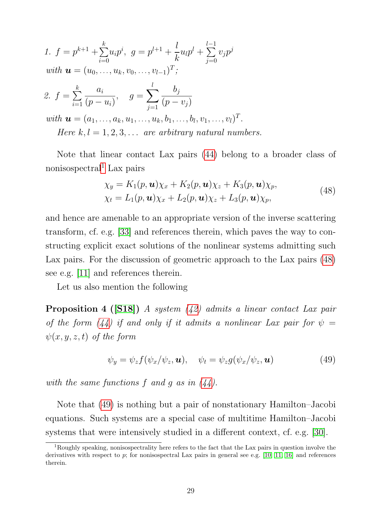1. 
$$
f = p^{k+1} + \sum_{i=0}^{k} u_i p^i
$$
,  $g = p^{l+1} + \frac{l}{k} u_l p^l + \sum_{j=0}^{l-1} v_j p^j$   
\nwith  $\mathbf{u} = (u_0, ..., u_k, v_0, ..., v_{l-1})^T$ ;  
\n2.  $f = \sum_{i=1}^{k} \frac{a_i}{(p - u_i)}$ ,  $g = \sum_{j=1}^{l} \frac{b_j}{(p - v_j)}$   
\nwith  $\mathbf{u} = (a_1, ..., a_k, u_1, ..., u_k, b_1, ..., b_l, v_1, ..., v_l)^T$ .  
\nHere  $k, l = 1, 2, 3, ...$  are arbitrary natural numbers.

Note that linear contact Lax pairs [\(44\)](#page-29-1) belong to a broader class of nonisospectral<sup>[1](#page-2-1)</sup> Lax pairs

<span id="page-31-0"></span>
$$
\chi_y = K_1(p, \mathbf{u})\chi_x + K_2(p, \mathbf{u})\chi_z + K_3(p, \mathbf{u})\chi_p,
$$
  
\n
$$
\chi_t = L_1(p, \mathbf{u})\chi_x + L_2(p, \mathbf{u})\chi_z + L_3(p, \mathbf{u})\chi_p,
$$
\n(48)

and hence are amenable to an appropriate version of the inverse scattering transform, cf. e.g. [\[33\]](#page-39-11) and references therein, which paves the way to constructing explicit exact solutions of the nonlinear systems admitting such Lax pairs. For the discussion of geometric approach to the Lax pairs [\(48\)](#page-31-0) see e.g. [\[11\]](#page-36-10) and references therein.

Let us also mention the following

<span id="page-31-2"></span>**Proposition 4 ([\[S18\]](#page-35-9))** A system  $(42)$  admits a linear contact Lax pair of the form [\(44\)](#page-29-1) if and only if it admits a nonlinear Lax pair for  $\psi =$  $\psi(x, y, z, t)$  of the form

<span id="page-31-1"></span>
$$
\psi_y = \psi_z f(\psi_x/\psi_z, \mathbf{u}), \quad \psi_t = \psi_z g(\psi_x/\psi_z, \mathbf{u}) \tag{49}
$$

with the same functions  $f$  and  $g$  as in  $(44)$ .

Note that [\(49\)](#page-31-1) is nothing but a pair of nonstationary Hamilton–Jacobi equations. Such systems are a special case of multitime Hamilton–Jacobi systems that were intensively studied in a different context, cf. e.g. [\[30\]](#page-38-9).

<sup>1</sup>Roughly speaking, nonisospectrality here refers to the fact that the Lax pairs in question involve the derivatives with respect to  $p$ ; for nonisospectral Lax pairs in general see e.g. [\[10,](#page-36-9) [11,](#page-36-10) [16\]](#page-37-1) and references therein.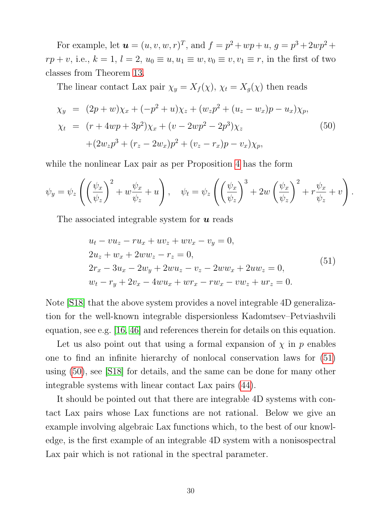For example, let  $u = (u, v, w, r)^T$ , and  $f = p^2 + wp + u$ ,  $g = p^3 + 2wp^2 +$  $rp + v$ , i.e.,  $k = 1$ ,  $l = 2$ ,  $u_0 \equiv u, u_1 \equiv w, v_0 \equiv v, v_1 \equiv r$ , in the first of two classes from Theorem [13.](#page-30-2)

The linear contact Lax pair  $\chi_y = X_f(\chi)$ ,  $\chi_t = X_g(\chi)$  then reads

<span id="page-32-1"></span>
$$
\chi_y = (2p + w)\chi_x + (-p^2 + u)\chi_z + (w_z p^2 + (u_z - w_x)p - u_x)\chi_p, \chi_t = (r + 4wp + 3p^2)\chi_x + (v - 2wp^2 - 2p^3)\chi_z \n+ (2w_z p^3 + (r_z - 2w_x)p^2 + (v_z - r_x)p - v_x)\chi_p,
$$
\n(50)

while the nonlinear Lax pair as per Proposition [4](#page-31-2) has the form

$$
\psi_y = \psi_z \left( \left( \frac{\psi_x}{\psi_z} \right)^2 + w \frac{\psi_x}{\psi_z} + u \right), \quad \psi_t = \psi_z \left( \left( \frac{\psi_x}{\psi_z} \right)^3 + 2w \left( \frac{\psi_x}{\psi_z} \right)^2 + r \frac{\psi_x}{\psi_z} + v \right).
$$

The associated integrable system for  $\boldsymbol{u}$  reads

<span id="page-32-0"></span>
$$
u_t - vu_z - ru_x + uv_z + wv_x - v_y = 0,
$$
  
\n
$$
2u_z + w_x + 2ww_z - r_z = 0,
$$
  
\n
$$
2r_x - 3u_x - 2w_y + 2wu_z - v_z - 2ww_x + 2uw_z = 0,
$$
  
\n
$$
w_t - r_y + 2v_x - 4wu_x + wr_x - rw_x - vw_z + ur_z = 0.
$$
\n(51)

Note [\[S18\]](#page-35-9) that the above system provides a novel integrable 4D generalization for the well-known integrable dispersionless Kadomtsev–Petviashvili equation, see e.g. [\[16,](#page-37-1) [46\]](#page-40-1) and references therein for details on this equation.

Let us also point out that using a formal expansion of  $\chi$  in  $p$  enables one to find an infinite hierarchy of nonlocal conservation laws for [\(51\)](#page-32-0) using [\(50\)](#page-32-1), see [\[S18\]](#page-35-9) for details, and the same can be done for many other integrable systems with linear contact Lax pairs [\(44\)](#page-29-1).

It should be pointed out that there are integrable 4D systems with contact Lax pairs whose Lax functions are not rational. Below we give an example involving algebraic Lax functions which, to the best of our knowledge, is the first example of an integrable 4D system with a nonisospectral Lax pair which is not rational in the spectral parameter.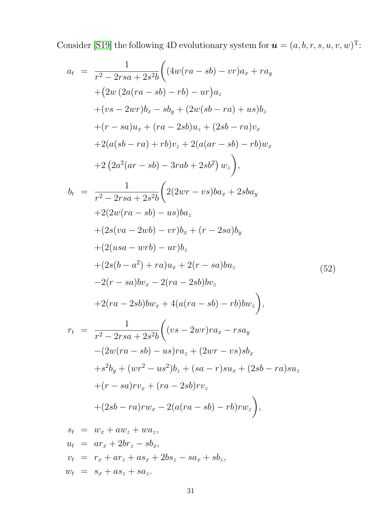Consider [\[S19\]](#page-35-10) the following 4D evolutionary system for  $u = (a, b, r, s, u, v, w)^T$ :

<span id="page-33-0"></span>
$$
a_{t} = \frac{1}{r^{2} - 2rsa + 2s^{2}b} \Big( (4w(ra - sb) - vr)a_{x} + ra_{y} + (2w (2a(ra - sb) - rb) - ur)a_{z} + (vs - 2wr)b_{x} - sb_{y} + (2w(sb - ra) + us)b_{z} + (r - sa)u_{x} + (ra - 2sb)u_{z} + (2sb - ra)v_{x} + 2(a(sb - ra) + rb)v_{z} + 2(a(ar - sb) - rb)w_{x} + 2(2a^{2}(ar - sb) - 3rab + 2sb^{2}) w_{z}),
$$
  

$$
b_{t} = \frac{1}{r^{2} - 2rsa + 2s^{2}b} \Big( 2(2wr - vs)ba_{x} + 2sba_{y} + 2(2w(ra - sb) - us)ba_{z} + (2s(va - 2wb) - vr)b_{z} + (r - 2sa)b_{y} + (2(usa - wrb) - ur)b_{z} + (2s(b - a^{2}) + ra)u_{x} + 2(r - sa)bu_{z} + (2r(a - 2sb)bw_{x} - 2(ra - 2sb)bv_{z}) + 2(ra - 2sb)bw_{x} + 4(a(ra - sb) - rb)bw_{z}),
$$
  

$$
r_{t} = \frac{1}{r^{2} - 2rsa + 2s^{2}b} \Big( (vs - 2wr)ra_{x} - rsa_{y} -(2w(ra - sb) - us)ra_{z} + (2wr - vs)sb_{x} + s^{2}b_{y} + (wr^{2} - us^{2})b_{z} + (sa - r)su_{x} + (2sb - ra)su_{z} + (r - sa)rv_{x} + (ra - 2sb)rv_{z} + (2sb - ra)rw_{x} - 2(a(ra - sb) - rb)rw_{z}),
$$
  

$$
s_{t} = w_{x} + aw_{z} + wa_{z},
$$
  

$$
u_{t} = ar_{x} + 2br_{z} - sb_{x},
$$
  

$$
v_{t} = r_{x} + ar_{z} + as_{x} + 2bs_{z} - sa_{x} + sb_{z},
$$

 $w_t = s_x + as_z + sa_z.$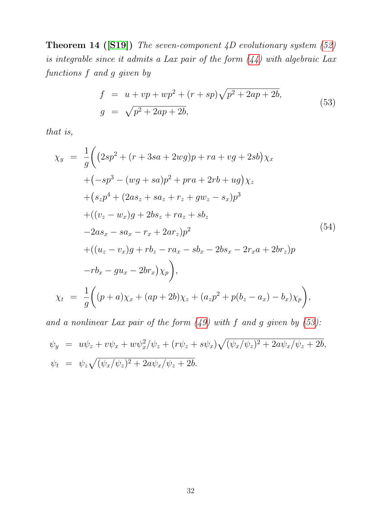**Theorem 14 ([\[S19\]](#page-35-10))** The seven-component  $\overline{4D}$  evolutionary system [\(52\)](#page-33-0) is integrable since it admits a Lax pair of the form [\(44\)](#page-29-1) with algebraic Lax functions f and g given by

<span id="page-34-0"></span>
$$
f = u + vp + wp^2 + (r + sp)\sqrt{p^2 + 2ap + 2b},
$$
  
\n
$$
g = \sqrt{p^2 + 2ap + 2b},
$$
\n(53)

that is,

$$
\chi_y = \frac{1}{g} \Big( (2sp^2 + (r + 3sa + 2wg)p + ra + vg + 2sb) \chi_x \n+ (-sp^3 - (wg + sa)p^2 + pra + 2rb + ug) \chi_z \n+ (s_zp^4 + (2as_z + sa_z + r_z + gw_z - s_x)p^3 \n+ ((v_z - w_x)g + 2bs_z + ra_z + sb_z \n- 2as_x - sa_x - r_x + 2ar_z)p^2 \n+ ((u_z - v_x)g + rb_z - ra_x - sb_x - 2bs_x - 2r_xa + 2br_z)p \n- rb_x - gu_x - 2br_x) \chi_p \Big), \n\chi_t = \frac{1}{g} \Big( (p + a) \chi_x + (ap + 2b) \chi_z + (a_zp^2 + p(b_z - a_x) - b_x) \chi_p \Big),
$$

and a nonlinear Lax pair of the form  $(49)$  with f and g given by  $(53)$ :

$$
\psi_y = u\psi_z + v\psi_x + w\psi_x^2/\psi_z + (r\psi_z + s\psi_x)\sqrt{(\psi_x/\psi_z)^2 + 2a\psi_x/\psi_z + 2b}, \n\psi_t = \psi_z\sqrt{(\psi_x/\psi_z)^2 + 2a\psi_x/\psi_z + 2b}.
$$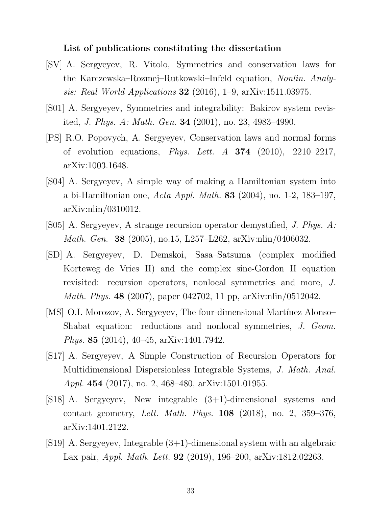#### <span id="page-35-0"></span>List of publications constituting the dissertation

- <span id="page-35-2"></span>[SV] A. Sergyeyev, R. Vitolo, Symmetries and conservation laws for the Karczewska–Rozmej–Rutkowski–Infeld equation, Nonlin. Analysis: Real World Applications **32** (2016), 1–9,  $\ar{Xiv:}1511.03975$ .
- <span id="page-35-3"></span>[S01] A. Sergyeyev, Symmetries and integrability: Bakirov system revisited, J. Phys. A: Math. Gen. 34 (2001), no. 23, 4983–4990.
- <span id="page-35-4"></span>[PS] R.O. Popovych, A. Sergyeyev, Conservation laws and normal forms of evolution equations, *Phys. Lett. A*  $374$  (2010), 2210–2217, arXiv:1003.1648.
- <span id="page-35-5"></span>[S04] A. Sergyeyev, A simple way of making a Hamiltonian system into a bi-Hamiltonian one, Acta Appl. Math. 83 (2004), no. 1-2, 183–197, arXiv:nlin/0310012.
- <span id="page-35-6"></span>[S05] A. Sergyeyev, A strange recursion operator demystified, J. Phys. A: Math. Gen. 38 (2005), no.15, L257–L262, arXiv:nlin/0406032.
- <span id="page-35-7"></span>[SD] A. Sergyeyev, D. Demskoi, Sasa–Satsuma (complex modified Korteweg–de Vries II) and the complex sine-Gordon II equation revisited: recursion operators, nonlocal symmetries and more, J. Math. Phys. 48 (2007), paper 042702, 11 pp, arXiv:nlin/0512042.
- <span id="page-35-8"></span>[MS] O.I. Morozov, A. Sergyeyev, The four-dimensional Martínez Alonso– Shabat equation: reductions and nonlocal symmetries, J. Geom. Phys. 85 (2014), 40–45, arXiv:1401.7942.
- <span id="page-35-1"></span>[S17] A. Sergyeyev, A Simple Construction of Recursion Operators for Multidimensional Dispersionless Integrable Systems, J. Math. Anal. Appl. 454 (2017), no. 2, 468-480, arXiv:1501.01955.
- <span id="page-35-9"></span>[S18] A. Sergyeyev, New integrable (3+1)-dimensional systems and contact geometry, Lett. Math. Phys. 108 (2018), no. 2, 359–376, arXiv:1401.2122.
- <span id="page-35-10"></span>[S19] A. Sergyeyev, Integrable (3+1)-dimensional system with an algebraic Lax pair, Appl. Math. Lett. 92 (2019), 196–200, arXiv:1812.02263.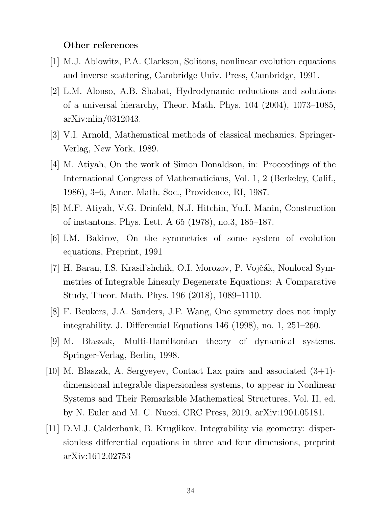#### Other references

- <span id="page-36-2"></span>[1] M.J. Ablowitz, P.A. Clarkson, Solitons, nonlinear evolution equations and inverse scattering, Cambridge Univ. Press, Cambridge, 1991.
- <span id="page-36-7"></span>[2] L.M. Alonso, A.B. Shabat, Hydrodynamic reductions and solutions of a universal hierarchy, Theor. Math. Phys. 104 (2004), 1073–1085, arXiv:nlin/0312043.
- <span id="page-36-0"></span>[3] V.I. Arnold, Mathematical methods of classical mechanics. Springer-Verlag, New York, 1989.
- <span id="page-36-4"></span>[4] M. Atiyah, On the work of Simon Donaldson, in: Proceedings of the International Congress of Mathematicians, Vol. 1, 2 (Berkeley, Calif., 1986), 3–6, Amer. Math. Soc., Providence, RI, 1987.
- <span id="page-36-3"></span>[5] M.F. Atiyah, V.G. Drinfeld, N.J. Hitchin, Yu.I. Manin, Construction of instantons. Phys. Lett. A 65 (1978), no.3, 185–187.
- <span id="page-36-5"></span>[6] I.M. Bakirov, On the symmetries of some system of evolution equations, Preprint, 1991
- <span id="page-36-8"></span>[7] H. Baran, I.S. Krasil'shchik, O.I. Morozov, P. Vojčák, Nonlocal Symmetries of Integrable Linearly Degenerate Equations: A Comparative Study, Theor. Math. Phys. 196 (2018), 1089–1110.
- <span id="page-36-6"></span>[8] F. Beukers, J.A. Sanders, J.P. Wang, One symmetry does not imply integrability. J. Differential Equations 146 (1998), no. 1, 251–260.
- <span id="page-36-1"></span>[9] M. Blaszak, Multi-Hamiltonian theory of dynamical systems. Springer-Verlag, Berlin, 1998.
- <span id="page-36-9"></span>[10] M. Błaszak, A. Sergyeyev, Contact Lax pairs and associated  $(3+1)$ dimensional integrable dispersionless systems, to appear in Nonlinear Systems and Their Remarkable Mathematical Structures, Vol. II, ed. by N. Euler and M. C. Nucci, CRC Press, 2019, arXiv:1901.05181.
- <span id="page-36-10"></span>[11] D.M.J. Calderbank, B. Kruglikov, Integrability via geometry: dispersionless differential equations in three and four dimensions, preprint arXiv:1612.02753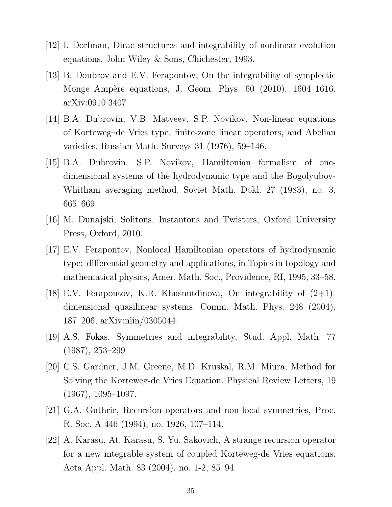- <span id="page-37-3"></span>[12] I. Dorfman, Dirac structures and integrability of nonlinear evolution equations. John Wiley & Sons, Chichester, 1993.
- <span id="page-37-9"></span>[13] B. Doubrov and E.V. Ferapontov, On the integrability of symplectic Monge–Ampère equations, J. Geom. Phys. 60 (2010), 1604–1616, arXiv:0910.3407
- <span id="page-37-2"></span>[14] B.A. Dubrovin, V.B. Matveev, S.P. Novikov, Non-linear equations of Korteweg–de Vries type, finite-zone linear operators, and Abelian varieties. Russian Math. Surveys 31 (1976), 59–146.
- <span id="page-37-5"></span>[15] B.A. Dubrovin, S.P. Novikov, Hamiltonian formalism of onedimensional systems of the hydrodynamic type and the Bogolyubov-Whitham averaging method. Soviet Math. Dokl. 27 (1983), no. 3, 665–669.
- <span id="page-37-1"></span>[16] M. Dunajski, Solitons, Instantons and Twistors, Oxford University Press, Oxford, 2010.
- <span id="page-37-4"></span>[17] E.V. Ferapontov, Nonlocal Hamiltonian operators of hydrodynamic type: differential geometry and applications, in Topics in topology and mathematical physics, Amer. Math. Soc., Providence, RI, 1995, 33–58.
- <span id="page-37-10"></span>[18] E.V. Ferapontov, K.R. Khusnutdinova, On integrability of  $(2+1)$ dimensional quasilinear systems. Comm. Math. Phys. 248 (2004), 187–206, arXiv:nlin/0305044.
- <span id="page-37-8"></span>[19] A.S. Fokas, Symmetries and integrability, Stud. Appl. Math. 77 (1987), 253–299
- <span id="page-37-0"></span>[20] C.S. Gardner, J.M. Greene, M.D. Kruskal, R.M. Miura, Method for Solving the Korteweg-de Vries Equation. Physical Review Letters, 19  $(1967), 1095 - 1097.$
- <span id="page-37-7"></span>[21] G.A. Guthrie, Recursion operators and non-local symmetries, Proc. R. Soc. A 446 (1994), no. 1926, 107–114.
- <span id="page-37-6"></span>[22] A. Karasu, At. Karasu, S. Yu. Sakovich, A strange recursion operator for a new integrable system of coupled Korteweg-de Vries equations. Acta Appl. Math. 83 (2004), no. 1-2, 85–94.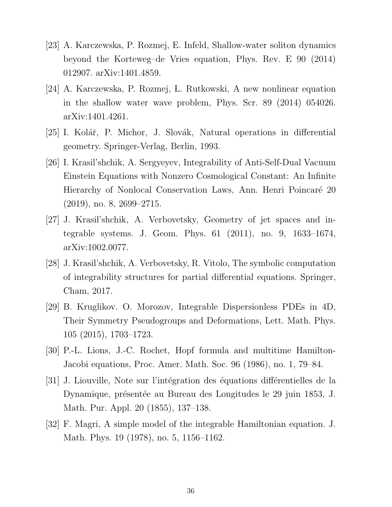- <span id="page-38-5"></span>[23] A. Karczewska, P. Rozmej, E. Infeld, Shallow-water soliton dynamics beyond the Korteweg–de Vries equation, Phys. Rev. E 90 (2014) 012907. arXiv:1401.4859.
- <span id="page-38-6"></span>[24] A. Karczewska, P. Rozmej, L. Rutkowski, A new nonlinear equation in the shallow water wave problem, Phys. Scr. 89 (2014) 054026. arXiv:1401.4261.
- <span id="page-38-4"></span>[25] I. Kolář, P. Michor, J. Slovák, Natural operations in differential geometry. Springer-Verlag, Berlin, 1993.
- <span id="page-38-2"></span>[26] I. Krasil'shchik, A. Sergyeyev, Integrability of Anti-Self-Dual Vacuum Einstein Equations with Nonzero Cosmological Constant: An Infinite Hierarchy of Nonlocal Conservation Laws, Ann. Henri Poincaré 20  $(2019)$ , no. 8,  $2699-2715$ .
- <span id="page-38-3"></span>[27] J. Krasil'shchik, A. Verbovetsky, Geometry of jet spaces and integrable systems. J. Geom. Phys. 61 (2011), no. 9, 1633–1674, arXiv:1002.0077.
- <span id="page-38-1"></span>[28] J. Krasil'shchik, A. Verbovetsky, R. Vitolo, The symbolic computation of integrability structures for partial differential equations. Springer, Cham, 2017.
- <span id="page-38-8"></span>[29] B. Kruglikov. O. Morozov, Integrable Dispersionless PDEs in 4D, Their Symmetry Pseudogroups and Deformations, Lett. Math. Phys. 105 (2015), 1703–1723.
- <span id="page-38-9"></span>[30] P.-L. Lions, J.-C. Rochet, Hopf formula and multitime Hamilton-Jacobi equations, Proc. Amer. Math. Soc. 96 (1986), no. 1, 79–84.
- <span id="page-38-0"></span>[31] J. Liouville, Note sur l'intégration des équations différentielles de la Dynamique, présentée au Bureau des Longitudes le 29 juin 1853, J. Math. Pur. Appl. 20 (1855), 137–138.
- <span id="page-38-7"></span>[32] F. Magri, A simple model of the integrable Hamiltonian equation. J. Math. Phys. 19 (1978), no. 5, 1156–1162.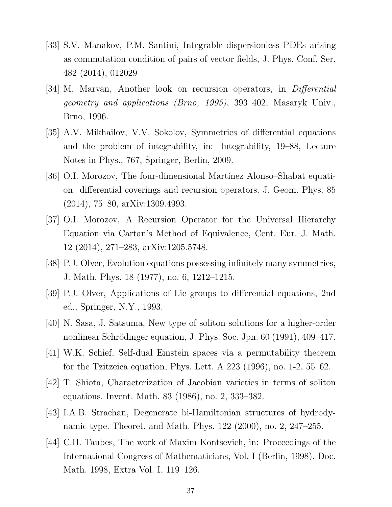- <span id="page-39-11"></span>[33] S.V. Manakov, P.M. Santini, Integrable dispersionless PDEs arising as commutation condition of pairs of vector fields, J. Phys. Conf. Ser. 482 (2014), 012029
- <span id="page-39-8"></span>[34] M. Marvan, Another look on recursion operators, in *Differential* geometry and applications (Brno, 1995), 393–402, Masaryk Univ., Brno, 1996.
- <span id="page-39-3"></span>[35] A.V. Mikhailov, V.V. Sokolov, Symmetries of differential equations and the problem of integrability, in: Integrability, 19–88, Lecture Notes in Phys., 767, Springer, Berlin, 2009.
- <span id="page-39-6"></span>[36] O.I. Morozov, The four-dimensional Martínez Alonso–Shabat equation: differential coverings and recursion operators. J. Geom. Phys. 85 (2014), 75–80, arXiv:1309.4993.
- <span id="page-39-10"></span>[37] O.I. Morozov, A Recursion Operator for the Universal Hierarchy Equation via Cartan's Method of Equivalence, Cent. Eur. J. Math. 12 (2014), 271–283, arXiv:1205.5748.
- <span id="page-39-7"></span>[38] P.J. Olver, Evolution equations possessing infinitely many symmetries, J. Math. Phys. 18 (1977), no. 6, 1212–1215.
- <span id="page-39-0"></span>[39] P.J. Olver, Applications of Lie groups to differential equations, 2nd ed., Springer, N.Y., 1993.
- <span id="page-39-5"></span>[40] N. Sasa, J. Satsuma, New type of soliton solutions for a higher-order nonlinear Schrödinger equation, J. Phys. Soc. Jpn. 60 (1991), 409–417.
- <span id="page-39-9"></span>[41] W.K. Schief, Self-dual Einstein spaces via a permutability theorem for the Tzitzeica equation, Phys. Lett. A 223 (1996), no. 1-2, 55–62.
- <span id="page-39-2"></span>[42] T. Shiota, Characterization of Jacobian varieties in terms of soliton equations. Invent. Math. 83 (1986), no. 2, 333–382.
- <span id="page-39-4"></span>[43] I.A.B. Strachan, Degenerate bi-Hamiltonian structures of hydrodynamic type. Theoret. and Math. Phys. 122 (2000), no. 2, 247–255.
- <span id="page-39-1"></span>[44] C.H. Taubes, The work of Maxim Kontsevich, in: Proceedings of the International Congress of Mathematicians, Vol. I (Berlin, 1998). Doc. Math. 1998, Extra Vol. I, 119–126.